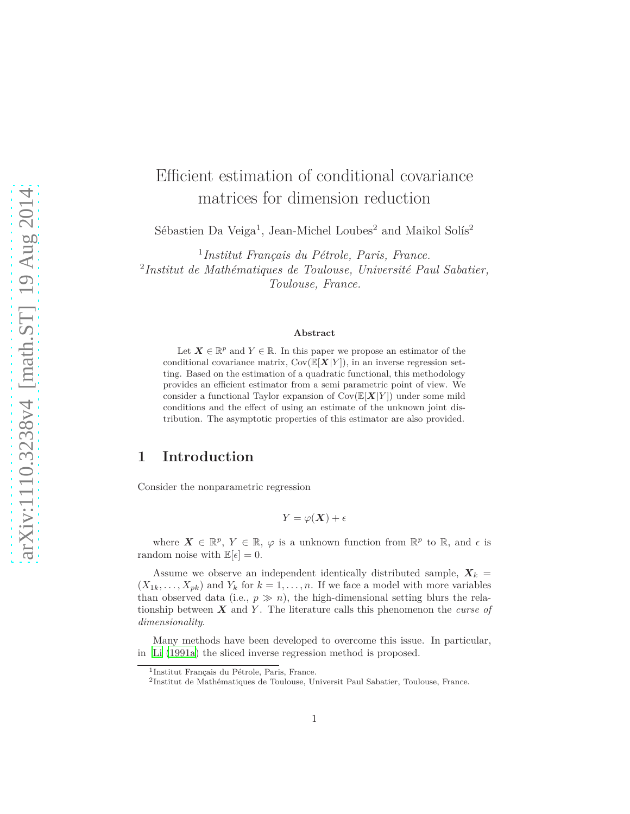# Efficient estimation of conditional covariance matrices for dimension reduction

Sébastien Da Veiga<sup>1</sup>, Jean-Michel Loubes<sup>2</sup> and Maikol Solís<sup>2</sup>

1 *Institut Français du Pétrole, Paris, France.* 2 *Institut de Mathématiques de Toulouse, Université Paul Sabatier, Toulouse, France.*

#### **Abstract**

Let  $\mathbf{X} \in \mathbb{R}^p$  and  $Y \in \mathbb{R}$ . In this paper we propose an estimator of the conditional covariance matrix,  $Cov(\mathbb{E}[X|Y])$ , in an inverse regression setting. Based on the estimation of a quadratic functional, this methodology provides an efficient estimator from a semi parametric point of view. We consider a functional Taylor expansion of  $Cov(\mathbb{E}[X|Y])$  under some mild conditions and the effect of using an estimate of the unknown joint distribution. The asymptotic properties of this estimator are also provided.

# **1 Introduction**

Consider the nonparametric regression

$$
Y = \varphi(\boldsymbol{X}) + \epsilon
$$

where  $\mathbf{X} \in \mathbb{R}^p$ ,  $Y \in \mathbb{R}$ ,  $\varphi$  is a unknown function from  $\mathbb{R}^p$  to  $\mathbb{R}$ , and  $\epsilon$  is random noise with  $\mathbb{E}[\epsilon] = 0$ .

Assume we observe an independent identically distributed sample,  $X_k =$  $(X_{1k},...,X_{pk})$  and  $Y_k$  for  $k=1,...,n$ . If we face a model with more variables than observed data (i.e.,  $p \gg n$ ), the high-dimensional setting blurs the relationship between X and *Y* . The literature calls this phenomenon the *curse of dimensionality*.

Many methods have been developed to overcome this issue. In particular, in [Li \(1991a\)](#page-20-0) the sliced inverse regression method is proposed.

<sup>1</sup> Institut Français du Pétrole, Paris, France.

<sup>2</sup> Institut de Mathématiques de Toulouse, Universit Paul Sabatier, Toulouse, France.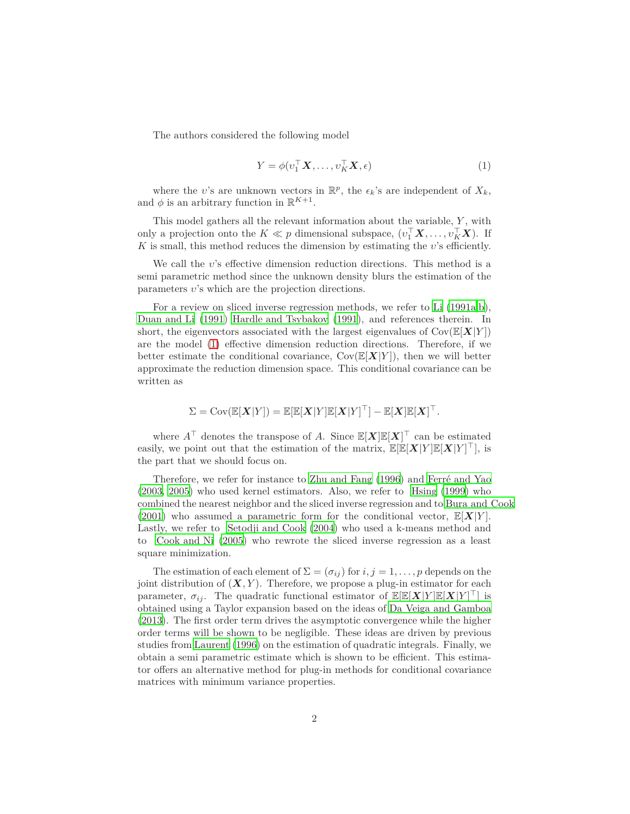The authors considered the following model

<span id="page-1-0"></span>
$$
Y = \phi(v_1^\top \mathbf{X}, \dots, v_K^\top \mathbf{X}, \epsilon) \tag{1}
$$

where the *v*'s are unknown vectors in  $\mathbb{R}^p$ , the  $\epsilon_k$ 's are independent of  $X_k$ , and  $\phi$  is an arbitrary function in  $\mathbb{R}^{K+1}$ .

This model gathers all the relevant information about the variable, *Y* , with only a projection onto the  $K \ll p$  dimensional subspace,  $(v_1^\top X, \dots, v_K^\top X)$ . If *K* is small, this method reduces the dimension by estimating the *υ*'s efficiently.

We call the *υ*'s effective dimension reduction directions. This method is a semi parametric method since the unknown density blurs the estimation of the parameters *υ*'s which are the projection directions.

For a review on sliced inverse regression methods, we refer to [Li \(1991a](#page-20-0)[,b\)](#page-20-1), [Duan and Li \(1991\)](#page-19-0) [Hardle and Tsybakov \(1991\)](#page-19-1), and references therein. In short, the eigenvectors associated with the largest eigenvalues of  $Cov(\mathbb{E}[X|Y])$ are the model [\(1\)](#page-1-0) effective dimension reduction directions. Therefore, if we better estimate the conditional covariance,  $Cov(\mathbb{E}[X|Y])$ , then we will better approximate the reduction dimension space. This conditional covariance can be written as

$$
\Sigma = \mathrm{Cov}(\mathbb{E}[\boldsymbol{X}|Y]) = \mathbb{E}[\mathbb{E}[\boldsymbol{X}|Y]\mathbb{E}[\boldsymbol{X}|Y]^{\top}] - \mathbb{E}[\boldsymbol{X}]\mathbb{E}[\boldsymbol{X}]^{\top}.
$$

where  $A^{\top}$  denotes the transpose of *A*. Since  $\mathbb{E}[X]\mathbb{E}[X]^{\top}$  can be estimated easily, we point out that the estimation of the matrix,  $\mathbb{E}[\mathbb{E}[X|Y]\mathbb{E}[X|Y]^\top]$ , is the part that we should focus on.

Therefore, we refer for instance to [Zhu and Fang \(1996](#page-20-2)) and [Ferré and Yao](#page-19-2) [\(2003,](#page-19-2) [2005\)](#page-19-3) who used kernel estimators. Also, we refer to [Hsing \(1999](#page-19-4)) who combined the nearest neighbor and the sliced inverse regression and to [Bura and Cook](#page-19-5) [\(2001\)](#page-19-5) who assumed a parametric form for the conditional vector,  $\mathbb{E}[\mathbf{X}|Y]$ . Lastly, we refer to [Setodji and Cook \(2004\)](#page-20-3) who used a k-means method and to [Cook and Ni \(2005\)](#page-19-6) who rewrote the sliced inverse regression as a least square minimization.

The estimation of each element of  $\Sigma = (\sigma_{ij})$  for  $i, j = 1, \ldots, p$  depends on the joint distribution of  $(X, Y)$ . Therefore, we propose a plug-in estimator for each parameter,  $\sigma_{ij}$ . The quadratic functional estimator of  $\mathbb{E}[\mathbb{E}[X|Y]\mathbb{E}[X|Y]^\top]$  is obtained using a Taylor expansion based on the ideas of [Da Veiga and Gamboa](#page-19-7) [\(2013\)](#page-19-7). The first order term drives the asymptotic convergence while the higher order terms will be shown to be negligible. These ideas are driven by previous studies from [Laurent \(1996\)](#page-20-4) on the estimation of quadratic integrals. Finally, we obtain a semi parametric estimate which is shown to be efficient. This estimator offers an alternative method for plug-in methods for conditional covariance matrices with minimum variance properties.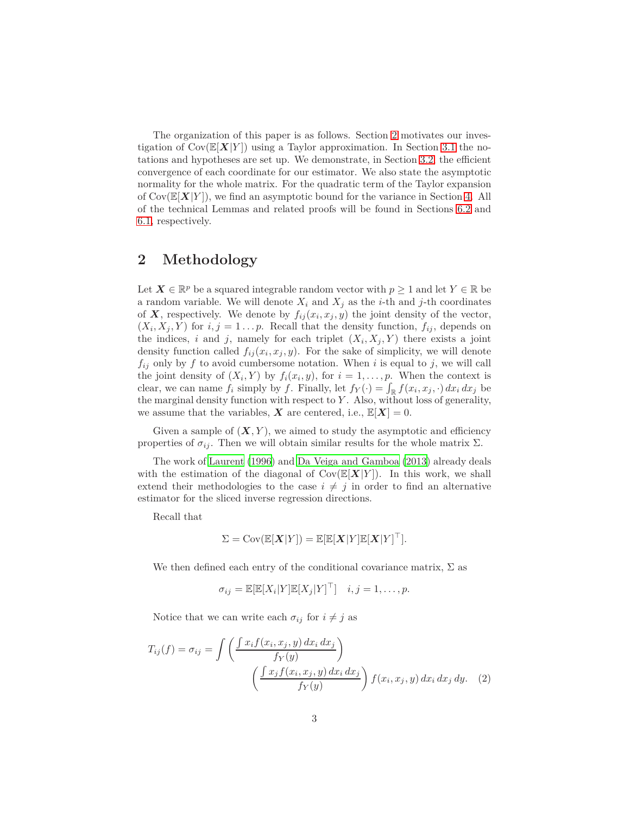The organization of this paper is as follows. Section [2](#page-2-0) motivates our investigation of  $\text{Cov}(\mathbb{E}[\boldsymbol{X}|Y])$  using a Taylor approximation. In Section [3.1](#page-5-0) the notations and hypotheses are set up. We demonstrate, in Section [3.2,](#page-8-0) the efficient convergence of each coordinate for our estimator. We also state the asymptotic normality for the whole matrix. For the quadratic term of the Taylor expansion of  $Cov(\mathbb{E}[X|Y])$ , we find an asymptotic bound for the variance in Section [4.](#page-9-0) All of the technical Lemmas and related proofs will be found in Sections [6.2](#page-21-0) and [6.1,](#page-12-0) respectively.

## <span id="page-2-0"></span>**2 Methodology**

Let  $X \in \mathbb{R}^p$  be a squared integrable random vector with  $p \geq 1$  and let  $Y \in \mathbb{R}$  be a random variable. We will denote  $X_i$  and  $X_j$  as the *i*-th and *j*-th coordinates of **X**, respectively. We denote by  $f_{ij}(x_i, x_j, y)$  the joint density of the vector,  $(X_i, X_j, Y)$  for  $i, j = 1 \dots p$ . Recall that the density function,  $f_{ij}$ , depends on the indices, *i* and *j*, namely for each triplet  $(X_i, X_j, Y)$  there exists a joint density function called  $f_{ij}(x_i, x_j, y)$ . For the sake of simplicity, we will denote  $f_{ij}$  only by  $f$  to avoid cumbersome notation. When  $i$  is equal to  $j$ , we will call the joint density of  $(X_i, Y)$  by  $f_i(x_i, y)$ , for  $i = 1, \ldots, p$ . When the context is clear, we can name  $f_i$  simply by  $f$ . Finally, let  $f_Y(\cdot) = \int_{\mathbb{R}} f(x_i, x_j, \cdot) dx_i dx_j$  be the marginal density function with respect to *Y* . Also, without loss of generality, we assume that the variables,  $X$  are centered, i.e.,  $\mathbb{E}[X] = 0$ .

Given a sample of  $(X, Y)$ , we aimed to study the asymptotic and efficiency properties of  $\sigma_{ij}$ . Then we will obtain similar results for the whole matrix  $\Sigma$ .

The work of [Laurent \(1996\)](#page-20-4) and [Da Veiga and Gamboa \(2013\)](#page-19-7) already deals with the estimation of the diagonal of  $Cov(\mathbb{E}[X|Y])$ . In this work, we shall extend their methodologies to the case  $i \neq j$  in order to find an alternative estimator for the sliced inverse regression directions.

Recall that

$$
\Sigma = \mathrm{Cov}(\mathbb{E}[\boldsymbol{X}|Y]) = \mathbb{E}[\mathbb{E}[\boldsymbol{X}|Y]\mathbb{E}[\boldsymbol{X}|Y]^{\top}].
$$

We then defined each entry of the conditional covariance matrix,  $\Sigma$  as

<span id="page-2-1"></span>
$$
\sigma_{ij} = \mathbb{E}[\mathbb{E}[X_i|Y]\mathbb{E}[X_j|Y]^\top] \quad i,j = 1,\ldots,p.
$$

Notice that we can write each  $\sigma_{ij}$  for  $i \neq j$  as

$$
T_{ij}(f) = \sigma_{ij} = \int \left( \frac{\int x_i f(x_i, x_j, y) dx_i dx_j}{f_Y(y)} \right)
$$

$$
\left( \frac{\int x_j f(x_i, x_j, y) dx_i dx_j}{f_Y(y)} \right) f(x_i, x_j, y) dx_i dx_j dy. \tag{2}
$$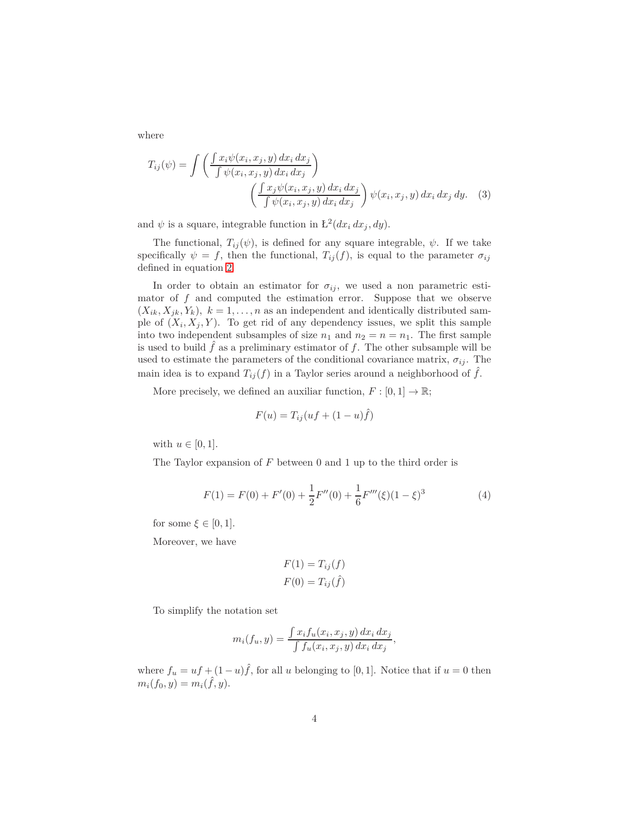where

$$
T_{ij}(\psi) = \int \left( \frac{\int x_i \psi(x_i, x_j, y) dx_i dx_j}{\int \psi(x_i, x_j, y) dx_i dx_j} \right) \left( \frac{\int x_j \psi(x_i, x_j, y) dx_i dx_j}{\int \psi(x_i, x_j, y) dx_i dx_j} \right) \psi(x_i, x_j, y) dx_i dx_j dy.
$$
 (3)

and  $\psi$  is a square, integrable function in  $\mathbb{E}^2(dx_i dx_j, dy)$ .

The functional,  $T_{ij}(\psi)$ , is defined for any square integrable,  $\psi$ . If we take specifically  $\psi = f$ , then the functional,  $T_{ij}(f)$ , is equal to the parameter  $\sigma_{ij}$ defined in equation [2.](#page-2-1)

In order to obtain an estimator for  $\sigma_{ij}$ , we used a non parametric estimator of *f* and computed the estimation error. Suppose that we observe  $(X_{ik}, X_{jk}, Y_k)$ ,  $k = 1, \ldots, n$  as an independent and identically distributed sample of  $(X_i, X_j, Y)$ . To get rid of any dependency issues, we split this sample into two independent subsamples of size  $n_1$  and  $n_2 = n = n_1$ . The first sample is used to build  $\hat{f}$  as a preliminary estimator of  $f$ . The other subsample will be used to estimate the parameters of the conditional covariance matrix,  $\sigma_{ij}$ . The main idea is to expand  $T_{ij}(f)$  in a Taylor series around a neighborhood of  $\hat{f}$ .

More precisely, we defined an auxiliar function,  $F : [0, 1] \to \mathbb{R}$ ;

<span id="page-3-0"></span>
$$
F(u) = T_{ij}(uf + (1-u)\hat{f})
$$

with  $u \in [0, 1]$ .

The Taylor expansion of *F* between 0 and 1 up to the third order is

<span id="page-3-1"></span>
$$
F(1) = F(0) + F'(0) + \frac{1}{2}F''(0) + \frac{1}{6}F'''(\xi)(1 - \xi)^3
$$
\n(4)

for some  $\xi \in [0, 1]$ .

Moreover, we have

$$
F(1) = T_{ij}(f)
$$
  

$$
F(0) = T_{ij}(\hat{f})
$$

To simplify the notation set

$$
m_i(f_u, y) = \frac{\int x_i f_u(x_i, x_j, y) dx_i dx_j}{\int f_u(x_i, x_j, y) dx_i dx_j},
$$

where  $f_u = uf + (1 - u)\hat{f}$ , for all *u* belonging to [0, 1]. Notice that if  $u = 0$  then  $m_i(f_0, y) = m_i(\hat{f}, y).$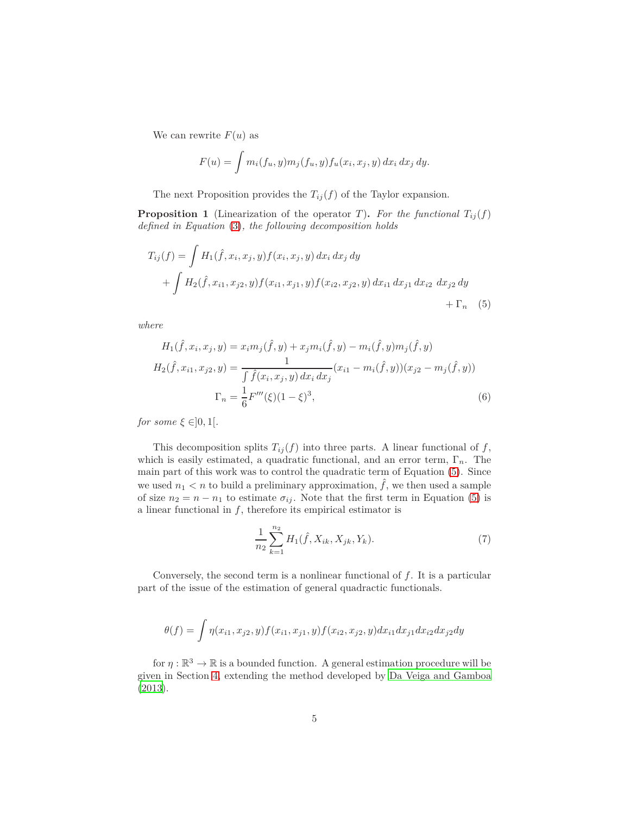We can rewrite  $F(u)$  as

<span id="page-4-0"></span>
$$
F(u) = \int m_i(f_u, y) m_j(f_u, y) f_u(x_i, x_j, y) dx_i dx_j dy.
$$

The next Proposition provides the  $T_{ij}(f)$  of the Taylor expansion.

<span id="page-4-1"></span>**Proposition 1** (Linearization of the operator *T*). For the functional  $T_{ij}(f)$ *defined in Equation* [\(3\)](#page-3-0)*, the following decomposition holds*

$$
T_{ij}(f) = \int H_1(\hat{f}, x_i, x_j, y) f(x_i, x_j, y) dx_i dx_j dy
$$
  
+ 
$$
\int H_2(\hat{f}, x_{i1}, x_{j2}, y) f(x_{i1}, x_{j1}, y) f(x_{i2}, x_{j2}, y) dx_{i1} dx_{j1} dx_{i2} dx_{j2} dy
$$
  
+ 
$$
\Gamma_n \quad (5)
$$

*where*

$$
H_1(\hat{f}, x_i, x_j, y) = x_i m_j(\hat{f}, y) + x_j m_i(\hat{f}, y) - m_i(\hat{f}, y) m_j(\hat{f}, y)
$$
  
\n
$$
H_2(\hat{f}, x_{i1}, x_{j2}, y) = \frac{1}{\int \hat{f}(x_i, x_j, y) dx_i dx_j} (x_{i1} - m_i(\hat{f}, y))(x_{j2} - m_j(\hat{f}, y))
$$
  
\n
$$
\Gamma_n = \frac{1}{6} F'''(\xi)(1 - \xi)^3,
$$
\n(6)

*for some*  $\xi \in ]0,1[$ *.* 

This decomposition splits  $T_{ij}(f)$  into three parts. A linear functional of  $f$ , which is easily estimated, a quadratic functional, and an error term, Γ*n*. The main part of this work was to control the quadratic term of Equation [\(5\)](#page-4-0). Since we used  $n_1 < n$  to build a preliminary approximation,  $\hat{f}$ , we then used a sample of size  $n_2 = n - n_1$  to estimate  $\sigma_{ij}$ . Note that the first term in Equation [\(5\)](#page-4-0) is a linear functional in *f*, therefore its empirical estimator is

<span id="page-4-2"></span>
$$
\frac{1}{n_2} \sum_{k=1}^{n_2} H_1(\hat{f}, X_{ik}, X_{jk}, Y_k).
$$
 (7)

Conversely, the second term is a nonlinear functional of *f*. It is a particular part of the issue of the estimation of general quadractic functionals.

$$
\theta(f) = \int \eta(x_{i1}, x_{j2}, y) f(x_{i1}, x_{j1}, y) f(x_{i2}, x_{j2}, y) dx_{i1} dx_{j1} dx_{i2} dx_{j2} dy
$$

for  $\eta : \mathbb{R}^3 \to \mathbb{R}$  is a bounded function. A general estimation procedure will be given in Section [4,](#page-9-0) extending the method developed by [Da Veiga and Gamboa](#page-19-7) [\(2013\)](#page-19-7).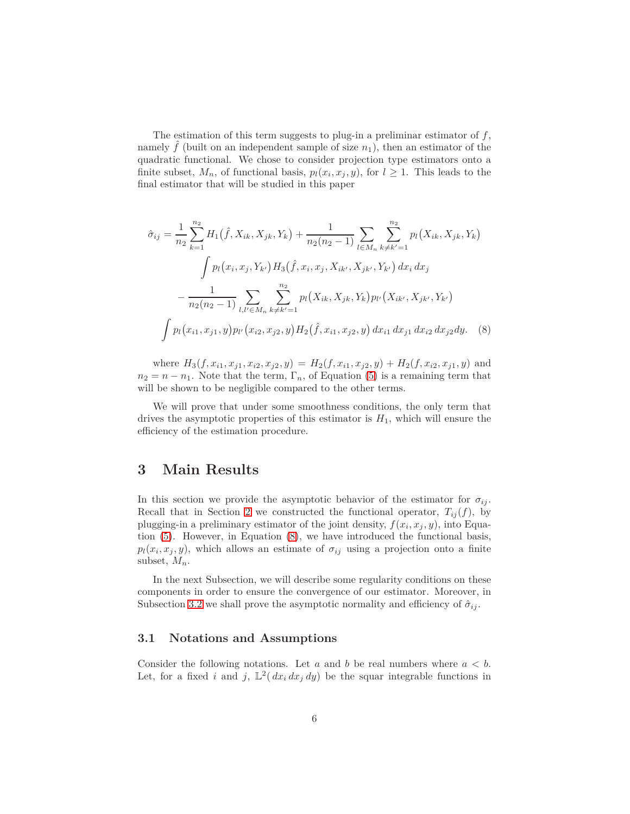The estimation of this term suggests to plug-in a preliminar estimator of *f*, namely  $f$  (built on an independent sample of size  $n_1$ ), then an estimator of the quadratic functional. We chose to consider projection type estimators onto a finite subset,  $M_n$ , of functional basis,  $p_l(x_i, x_j, y)$ , for  $l \geq 1$ . This leads to the final estimator that will be studied in this paper

$$
\hat{\sigma}_{ij} = \frac{1}{n_2} \sum_{k=1}^{n_2} H_1(\hat{f}, X_{ik}, X_{jk}, Y_k) + \frac{1}{n_2(n_2 - 1)} \sum_{l \in M_n} \sum_{k \neq k'=1}^{n_2} p_l(X_{ik}, X_{jk}, Y_k)
$$

$$
\int p_l(x_i, x_j, Y_{k'}) H_3(\hat{f}, x_i, x_j, X_{ik'}, X_{jk'}, Y_{k'}) dx_i dx_j
$$

$$
- \frac{1}{n_2(n_2 - 1)} \sum_{l,l' \in M_n} \sum_{k \neq k'=1}^{n_2} p_l(X_{ik}, X_{jk}, Y_k) p_{l'}(X_{ik'}, X_{jk'}, Y_{k'})
$$

$$
\int p_l(x_{i1}, x_{j1}, y) p_{l'}(x_{i2}, x_{j2}, y) H_2(\hat{f}, x_{i1}, x_{j2}, y) dx_{i1} dx_{j1} dx_{i2} dx_{j2} dy. \tag{8}
$$

<span id="page-5-1"></span>where  $H_3(f, x_{i1}, x_{j1}, x_{i2}, x_{j2}, y) = H_2(f, x_{i1}, x_{j2}, y) + H_2(f, x_{i2}, x_{j1}, y)$  and  $n_2 = n - n_1$ . Note that the term,  $\Gamma_n$ , of Equation [\(5\)](#page-4-0) is a remaining term that will be shown to be negligible compared to the other terms.

We will prove that under some smoothness conditions, the only term that drives the asymptotic properties of this estimator is  $H_1$ , which will ensure the efficiency of the estimation procedure.

## **3 Main Results**

In this section we provide the asymptotic behavior of the estimator for  $\sigma_{ij}$ . Recall that in Section [2](#page-2-0) we constructed the functional operator,  $T_{ij}(f)$ , by plugging-in a preliminary estimator of the joint density,  $f(x_i, x_j, y)$ , into Equation [\(5\)](#page-4-0). However, in Equation [\(8\)](#page-5-1), we have introduced the functional basis,  $p_l(x_i, x_j, y)$ , which allows an estimate of  $\sigma_{ij}$  using a projection onto a finite subset,  $M_n$ .

In the next Subsection, we will describe some regularity conditions on these components in order to ensure the convergence of our estimator. Moreover, in Subsection [3.2](#page-8-0) we shall prove the asymptotic normality and efficiency of  $\hat{\sigma}_{ij}$ .

#### <span id="page-5-0"></span>**3.1 Notations and Assumptions**

Consider the following notations. Let *a* and *b* be real numbers where *a < b*. Let, for a fixed *i* and *j*,  $\mathbb{L}^2(dx_i dx_j dy)$  be the squar integrable functions in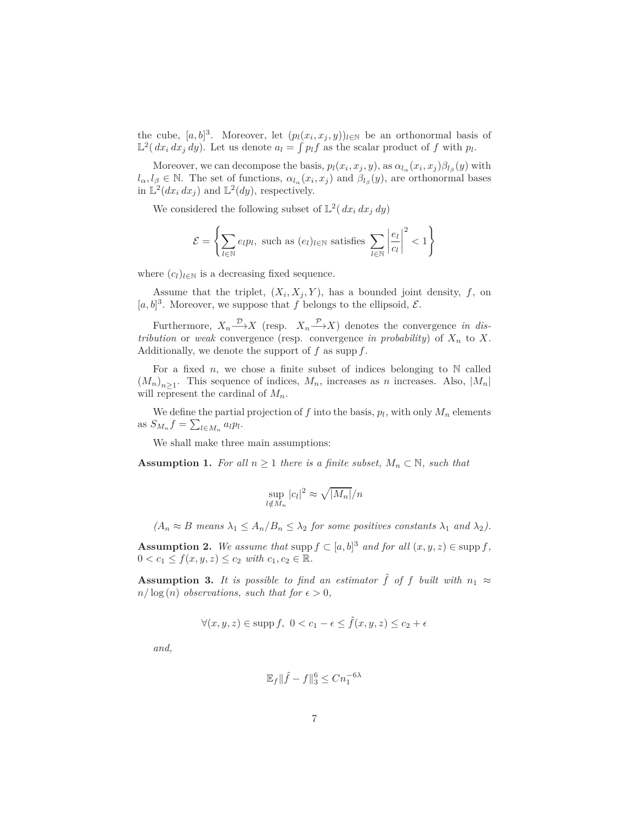the cube,  $[a, b]^3$ . Moreover, let  $(p_l(x_i, x_j, y))_{l \in \mathbb{N}}$  be an orthonormal basis of  $\mathbb{L}^2(dx_i dx_j dy)$ . Let us denote  $a_l = \int p_l f$  as the scalar product of f with  $p_l$ .

Moreover, we can decompose the basis,  $p_l(x_i, x_j, y)$ , as  $\alpha_{l_\alpha}(x_i, x_j) \beta_{l_\beta}(y)$  with  $l_{\alpha}, l_{\beta} \in \mathbb{N}$ . The set of functions,  $\alpha_{l_{\alpha}}(x_i, x_j)$  and  $\beta_{l_{\beta}}(y)$ , are orthonormal bases in  $\mathbb{L}^2(dx_i dx_j)$  and  $\mathbb{L}^2(dy)$ , respectively.

We considered the following subset of  $\mathbb{L}^2(dx_i dx_j dy)$ 

$$
\mathcal{E} = \left\{ \sum_{l \in \mathbb{N}} e_l p_l, \text{ such as } (e_l)_{l \in \mathbb{N}} \text{ satisfies } \sum_{l \in \mathbb{N}} \left| \frac{e_l}{c_l} \right|^2 < 1 \right\}
$$

where  $(c_l)_{l \in \mathbb{N}}$  is a decreasing fixed sequence.

Assume that the triplet,  $(X_i, X_j, Y)$ , has a bounded joint density,  $f$ , on  $[a, b]^3$ . Moreover, we suppose that *f* belongs to the ellipsoid,  $\mathcal{E}$ .

Furthermore,  $X_n \xrightarrow{\mathcal{D}} X$  (resp.  $X_n \xrightarrow{\mathcal{P}} X$ ) denotes the convergence *in distribution* or *weak* convergence (resp. convergence *in probability*) of  $X_n$  to  $X$ . Additionally, we denote the support of *f* as supp *f*.

For a fixed  $n$ , we chose a finite subset of indices belonging to  $N$  called  $(M_n)_{n\geq 1}$ . This sequence of indices,  $M_n$ , increases as *n* increases. Also,  $|M_n|$ will represent the cardinal of *Mn*.

We define the partial projection of  $f$  into the basis,  $p_l$ , with only  $M_n$  elements as  $S_{M_n} f = \sum_{l \in M_n} a_l p_l$ .

We shall make three main assumptions:

<span id="page-6-0"></span>**Assumption 1.** For all  $n \geq 1$  there is a finite subset,  $M_n \subset \mathbb{N}$ , such that

$$
\sup_{l \notin M_n} |c_l|^2 \approx \sqrt{|M_n|}/n
$$

 $(A_n \approx B \text{ means } \lambda_1 \leq A_n/B_n \leq \lambda_2 \text{ for some positives constants } \lambda_1 \text{ and } \lambda_2).$ 

<span id="page-6-1"></span>**Assumption 2.** *We assume that* supp  $f \subset [a, b]^3$  *and for all*  $(x, y, z) \in \text{supp } f$ *,*  $0 < c_1 \leq f(x, y, z) \leq c_2$  *with*  $c_1, c_2 \in \mathbb{R}$ .

<span id="page-6-2"></span>**Assumption 3.** *It is possible to find an estimator*  $\hat{f}$  *of*  $f$  *built with*  $n_1 \approx$  $n/\log(n)$  *observations, such that for*  $\epsilon > 0$ *,* 

$$
\forall (x,y,z) \in \mathrm{supp}\, f,\ 0 < c_1 - \epsilon \leq \hat{f}(x,y,z) \leq c_2 + \epsilon
$$

*and,*

$$
\mathbb{E}_f \|\hat{f} - f\|_3^6 \le Cn_1^{-6\lambda}
$$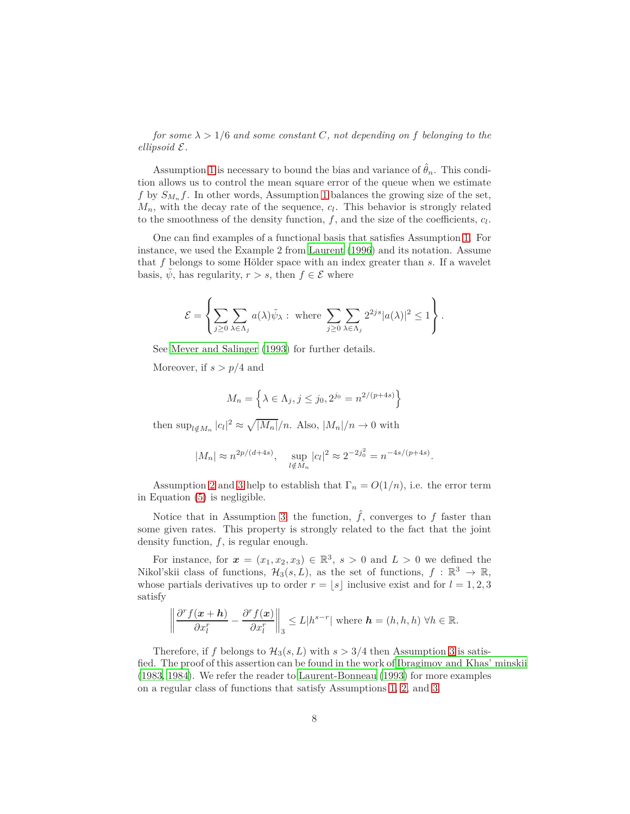*for some*  $\lambda > 1/6$  *and some constant C, not depending on f belonging to the ellipsoid* E*.*

Assumption [1](#page-6-0) is necessary to bound the bias and variance of  $\hat{\theta}_n$ . This condition allows us to control the mean square error of the queue when we estimate f by  $S_{M_n}$  *f*. In other words, Assumption [1](#page-6-0) balances the growing size of the set,  $M_n$ , with the decay rate of the sequence,  $c_l$ . This behavior is strongly related to the smoothness of the density function, *f*, and the size of the coefficients, *c<sup>l</sup>* .

One can find examples of a functional basis that satisfies Assumption [1.](#page-6-0) For instance, we used the Example 2 from [Laurent \(1996](#page-20-4)) and its notation. Assume that *f* belongs to some Hölder space with an index greater than *s*. If a wavelet basis,  $\psi$ , has regularity,  $r > s$ , then  $f \in \mathcal{E}$  where

$$
\mathcal{E} = \left\{ \sum_{j \geq 0} \sum_{\lambda \in \Lambda_j} a(\lambda) \tilde{\psi}_{\lambda} : \text{ where } \sum_{j \geq 0} \sum_{\lambda \in \Lambda_j} 2^{2js} |a(\lambda)|^2 \leq 1 \right\}.
$$

See [Meyer and Salinger \(1993](#page-20-5)) for further details.

Moreover, if *s > p/*4 and

$$
M_n = \left\{ \lambda \in \Lambda_j, j \le j_0, 2^{j_0} = n^{2/(p+4s)} \right\}
$$

then  $\sup_{l \notin M_n} |c_l|^2 \approx \sqrt{|M_n|}/n$ . Also,  $|M_n|/n \to 0$  with

$$
|M_n| \approx n^{2p/(d+4s)}, \quad \sup_{l \notin M_n} |c_l|^2 \approx 2^{-2j_0^2} = n^{-4s/(p+4s)}.
$$

Assumption [2](#page-6-1) and [3](#page-6-2) help to establish that  $\Gamma_n = O(1/n)$ , i.e. the error term in Equation [\(5\)](#page-4-0) is negligible.

Notice that in Assumption [3,](#page-6-2) the function,  $\hat{f}$ , converges to  $f$  faster than some given rates. This property is strongly related to the fact that the joint density function, *f*, is regular enough.

For instance, for  $x = (x_1, x_2, x_3) \in \mathbb{R}^3$ ,  $s > 0$  and  $L > 0$  we defined the Nikol'skii class of functions,  $\mathcal{H}_3(s, L)$ , as the set of functions,  $f : \mathbb{R}^3 \to \mathbb{R}$ , whose partials derivatives up to order  $r = |s|$  inclusive exist and for  $l = 1, 2, 3$ satisfy

$$
\left\|\frac{\partial^r f(\boldsymbol{x}+\boldsymbol{h})}{\partial x_l^r} - \frac{\partial^r f(\boldsymbol{x})}{\partial x_l^r}\right\|_3 \le L|h^{s-r}| \text{ where } \boldsymbol{h} = (h,h,h) \ \forall h \in \mathbb{R}.
$$

Therefore, if *f* belongs to  $\mathcal{H}_3(s, L)$  with  $s > 3/4$  $s > 3/4$  $s > 3/4$  then Assumption 3 is satisfied. The proof of this assertion can be found in the work of [Ibragimov and Khas' minskii](#page-19-8) [\(1983,](#page-19-8) [1984\)](#page-20-6). We refer the reader to [Laurent-Bonneau \(1993\)](#page-20-7) for more examples on a regular class of functions that satisfy Assumptions [1,](#page-6-0) [2,](#page-6-1) and [3.](#page-6-2)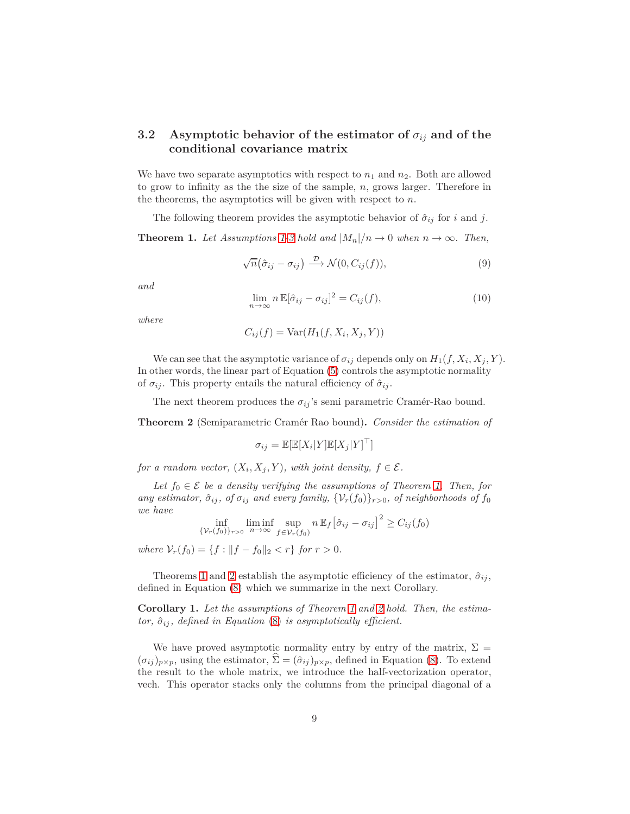#### <span id="page-8-0"></span>**3.2** Asymptotic behavior of the estimator of  $\sigma_{ij}$  and of the **conditional covariance matrix**

We have two separate asymptotics with respect to  $n_1$  and  $n_2$ . Both are allowed to grow to infinity as the the size of the sample, *n*, grows larger. Therefore in the theorems, the asymptotics will be given with respect to *n*.

<span id="page-8-1"></span>The following theorem provides the asymptotic behavior of  $\hat{\sigma}_{ij}$  for *i* and *j*. **Theorem 1.** Let Assumptions [1-](#page-6-0)[3](#page-6-2) hold and  $|M_n|/n \to 0$  when  $n \to \infty$ . Then,

<span id="page-8-3"></span>
$$
\sqrt{n}(\hat{\sigma}_{ij} - \sigma_{ij}) \xrightarrow{\mathcal{D}} \mathcal{N}(0, C_{ij}(f)),
$$
\n(9)

*and*

<span id="page-8-4"></span>
$$
\lim_{n \to \infty} n \mathbb{E}[\hat{\sigma}_{ij} - \sigma_{ij}]^2 = C_{ij}(f), \tag{10}
$$

*where*

$$
C_{ij}(f) = \text{Var}(H_1(f, X_i, X_j, Y))
$$

We can see that the asymptotic variance of  $\sigma_{ij}$  depends only on  $H_1(f, X_i, X_j, Y)$ . In other words, the linear part of Equation [\(5\)](#page-4-0) controls the asymptotic normality of  $\sigma_{ij}$ . This property entails the natural efficiency of  $\hat{\sigma}_{ij}$ .

The next theorem produces the  $\sigma_{ij}$ 's semi parametric Cramér-Rao bound.

<span id="page-8-2"></span>**Theorem 2** (Semiparametric Cramér Rao bound)**.** *Consider the estimation of*

$$
\sigma_{ij} = \mathbb{E}[\mathbb{E}[X_i|Y]\mathbb{E}[X_j|Y]^\top]
$$

*for a random vector,*  $(X_i, X_j, Y)$ *, with joint density,*  $f \in \mathcal{E}$ *.* 

*Let*  $f_0 \in \mathcal{E}$  *be a density verifying the assumptions of Theorem [1.](#page-8-1) Then, for any estimator,*  $\hat{\sigma}_{ij}$ , *of*  $\sigma_{ij}$  *and every family,*  $\{V_r(f_0)\}_{r>0}$ *, of neighborhoods of*  $f_0$ *we have*

$$
\inf_{\{\mathcal{V}_r(f_0)\}_{r>0}} \liminf_{n\to\infty} \sup_{f\in\mathcal{V}_r(f_0)} n \mathbb{E}_f \big[\hat{\sigma}_{ij} - \sigma_{ij}\big]^2 \ge C_{ij}(f_0)
$$

*where*  $V_r(f_0) = \{f : ||f - f_0||_2 < r\}$  *for*  $r > 0$ *.* 

Theorems [1](#page-8-1) and [2](#page-8-2) establish the asymptotic efficiency of the estimator,  $\hat{\sigma}_{ij}$ , defined in Equation [\(8\)](#page-5-1) which we summarize in the next Corollary.

**Corollary 1.** *Let the assumptions of Theorem [1](#page-8-1) and [2](#page-8-2) hold. Then, the estimator,*  $\hat{\sigma}_{ij}$ *, defined in Equation* [\(8\)](#page-5-1) *is asymptotically efficient.* 

We have proved asymptotic normality entry by entry of the matrix,  $\Sigma =$  $(\sigma_{ij})_{p \times p}$ , using the estimator,  $\Sigma = (\hat{\sigma}_{ij})_{p \times p}$ , defined in Equation [\(8\)](#page-5-1). To extend the result to the whole matrix, we introduce the half-vectorization operator, vech. This operator stacks only the columns from the principal diagonal of a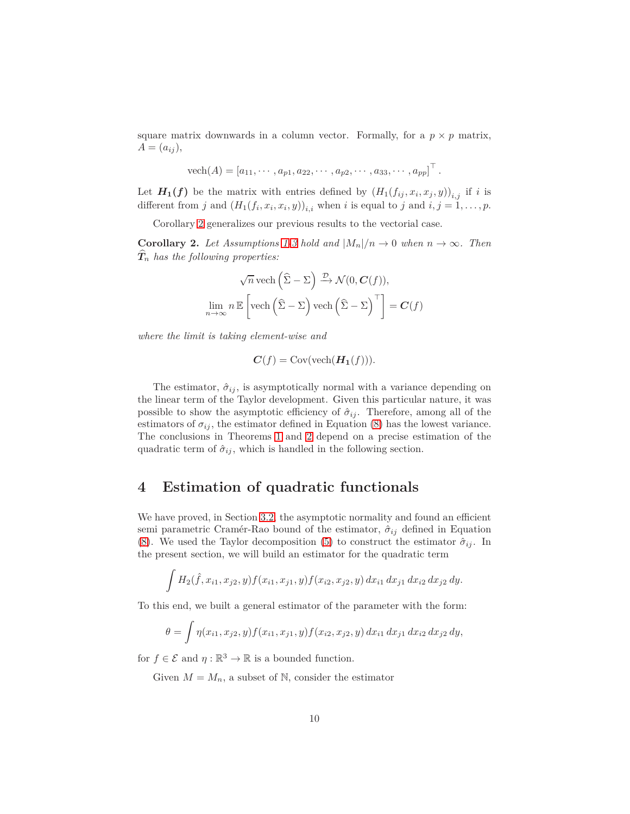square matrix downwards in a column vector. Formally, for a  $p \times p$  matrix,  $A = (a_{ij}),$ 

$$
\text{vech}(A) = [a_{11}, \cdots, a_{p1}, a_{22}, \cdots, a_{p2}, \cdots, a_{33}, \cdots, a_{pp}]^{\top}.
$$

Let  $H_1(f)$  be the matrix with entries defined by  $(H_1(f_{ij}, x_i, x_j, y))_{i,j}$  if *i* is different from *j* and  $(H_1(f_i, x_i, x_i, y))_{i,i}$  when *i* is equal to *j* and  $i, j = 1, \ldots, p$ .

Corollary [2](#page-9-1) generalizes our previous results to the vectorial case.

<span id="page-9-1"></span>**Corollary 2.** Let Assumptions [1](#page-6-0)[-3](#page-6-2) hold and  $|M_n|/n \to 0$  when  $n \to \infty$ . Then  $T_n$  has the following properties:

$$
\sqrt{n} \operatorname{vech}\left(\widehat{\Sigma} - \Sigma\right) \xrightarrow{\mathcal{D}} \mathcal{N}(0, \mathbf{C}(f)),
$$

$$
\lim_{n \to \infty} n \mathbb{E}\left[\operatorname{vech}\left(\widehat{\Sigma} - \Sigma\right) \operatorname{vech}\left(\widehat{\Sigma} - \Sigma\right)^{\top}\right] = \mathbf{C}(f)
$$

*where the limit is taking element-wise and*

 $\mathbf{C}(f) = \text{Cov}(\text{vech}(\mathbf{H}_1(f))).$ 

The estimator,  $\hat{\sigma}_{ij}$ , is asymptotically normal with a variance depending on the linear term of the Taylor development. Given this particular nature, it was possible to show the asymptotic efficiency of  $\hat{\sigma}_{ij}$ . Therefore, among all of the estimators of  $\sigma_{ij}$ , the estimator defined in Equation [\(8\)](#page-5-1) has the lowest variance. The conclusions in Theorems [1](#page-8-1) and [2](#page-8-2) depend on a precise estimation of the quadratic term of  $\hat{\sigma}_{ij}$ , which is handled in the following section.

### <span id="page-9-0"></span>**4 Estimation of quadratic functionals**

We have proved, in Section [3.2,](#page-8-0) the asymptotic normality and found an efficient semi parametric Cramér-Rao bound of the estimator,  $\hat{\sigma}_{ij}$  defined in Equation [\(8\)](#page-5-1). We used the Taylor decomposition [\(5\)](#page-4-0) to construct the estimator  $\hat{\sigma}_{ij}$ . In the present section, we will build an estimator for the quadratic term

$$
\int H_2(\hat{f}, x_{i1}, x_{j2}, y) f(x_{i1}, x_{j1}, y) f(x_{i2}, x_{j2}, y) dx_{i1} dx_{j1} dx_{i2} dx_{j2} dy.
$$

To this end, we built a general estimator of the parameter with the form:

$$
\theta = \int \eta(x_{i1}, x_{j2}, y) f(x_{i1}, x_{j1}, y) f(x_{i2}, x_{j2}, y) dx_{i1} dx_{j1} dx_{i2} dx_{j2} dy,
$$

for  $f \in \mathcal{E}$  and  $\eta : \mathbb{R}^3 \to \mathbb{R}$  is a bounded function.

Given  $M = M_n$ , a subset of N, consider the estimator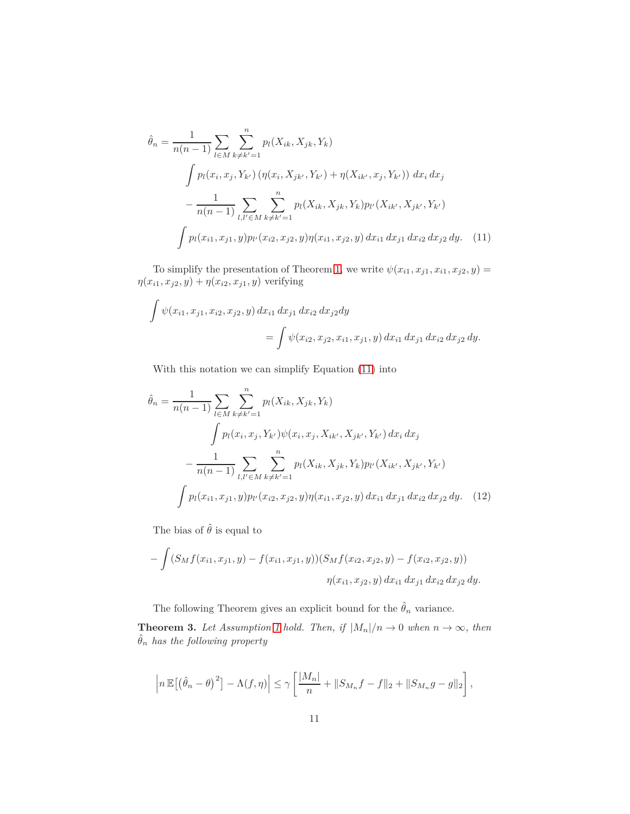$$
\hat{\theta}_n = \frac{1}{n(n-1)} \sum_{l \in M} \sum_{k \neq k'=1}^n p_l(X_{ik}, X_{jk}, Y_k)
$$
\n
$$
\int p_l(x_i, x_j, Y_{k'}) \left( \eta(x_i, X_{jk'}, Y_{k'}) + \eta(X_{ik'}, x_j, Y_{k'}) \right) dx_i dx_j
$$
\n
$$
- \frac{1}{n(n-1)} \sum_{l,l' \in M} \sum_{k \neq k'=1}^n p_l(X_{ik}, X_{jk}, Y_k) p_{l'}(X_{ik'}, X_{jk'}, Y_{k'})
$$
\n
$$
\int p_l(x_{i1}, x_{j1}, y) p_{l'}(x_{i2}, x_{j2}, y) \eta(x_{i1}, x_{j2}, y) dx_{i1} dx_{j1} dx_{i2} dx_{j2} dy. \quad (11)
$$

To simplify the presentation of Theorem [1,](#page-8-1) we write  $\psi(x_{i1}, x_{j1}, x_{i1}, x_{j2}, y) =$  $\eta(x_{i1}, x_{j2}, y) + \eta(x_{i2}, x_{j1}, y)$  verifying

<span id="page-10-0"></span>
$$
\int \psi(x_{i1}, x_{j1}, x_{i2}, x_{j2}, y) dx_{i1} dx_{j1} dx_{i2} dx_{j2} dy
$$
  
= 
$$
\int \psi(x_{i2}, x_{j2}, x_{i1}, x_{j1}, y) dx_{i1} dx_{j1} dx_{i2} dx_{j2} dy.
$$

With this notation we can simplify Equation [\(11\)](#page-10-0) into

$$
\hat{\theta}_n = \frac{1}{n(n-1)} \sum_{l \in M} \sum_{k \neq k'=1}^n p_l(X_{ik}, X_{jk}, Y_k)
$$
  

$$
\int p_l(x_i, x_j, Y_{k'}) \psi(x_i, x_j, X_{ik'}, X_{jk'}, Y_{k'}) dx_i dx_j
$$
  

$$
- \frac{1}{n(n-1)} \sum_{l,l' \in M} \sum_{k \neq k'=1}^n p_l(X_{ik}, X_{jk}, Y_k) p_{l'}(X_{ik'}, X_{jk'}, Y_{k'})
$$
  

$$
\int p_l(x_{i1}, x_{j1}, y) p_{l'}(x_{i2}, x_{j2}, y) \eta(x_{i1}, x_{j2}, y) dx_{i1} dx_{j1} dx_{i2} dx_{j2} dy. (12)
$$

<span id="page-10-2"></span>The bias of  $\hat{\theta}$  is equal to

$$
- \int (S_M f(x_{i1}, x_{j1}, y) - f(x_{i1}, x_{j1}, y))(S_M f(x_{i2}, x_{j2}, y) - f(x_{i2}, x_{j2}, y))
$$

$$
\eta(x_{i1}, x_{j2}, y) dx_{i1} dx_{j1} dx_{i2} dx_{j2} dy.
$$

The following Theorem gives an explicit bound for the  $\hat{\theta}_n$  variance.

<span id="page-10-1"></span>**Theorem 3.** Let Assumption [1](#page-6-0) hold. Then, if  $|M_n|/n \to 0$  when  $n \to \infty$ , then  $\hat{\theta}_n$  has the following property

$$
\left| n \mathbb{E}\left[ \left( \hat{\theta}_n - \theta \right)^2 \right] - \Lambda(f, \eta) \right| \leq \gamma \left[ \frac{|M_n|}{n} + \|S_{M_n}f - f\|_2 + \|S_{M_n}g - g\|_2 \right],
$$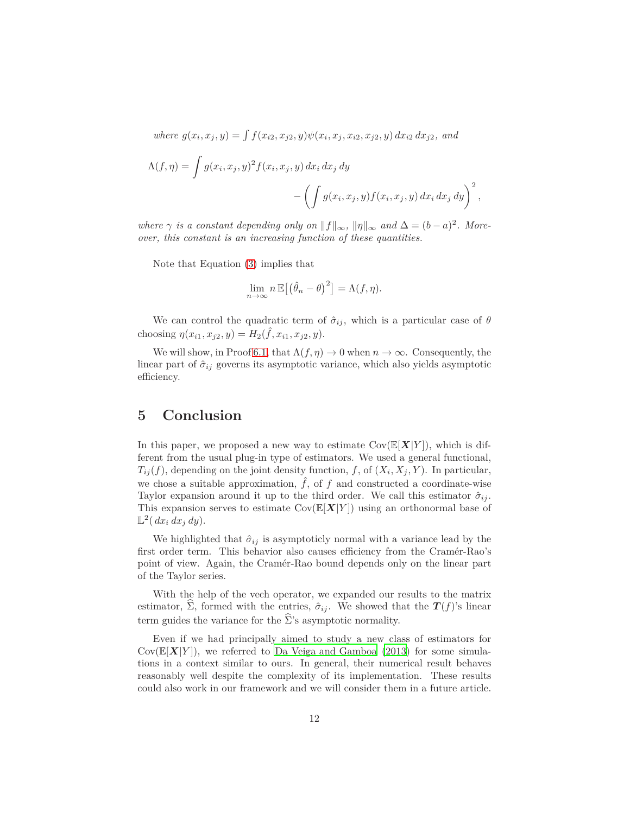where  $g(x_i, x_j, y) = \int f(x_{i2}, x_{j2}, y) \psi(x_i, x_j, x_{i2}, x_{j2}, y) dx_{i2} dx_{j2}$ , and

$$
\Lambda(f,\eta) = \int g(x_i, x_j, y)^2 f(x_i, x_j, y) dx_i dx_j dy
$$

$$
- \left( \int g(x_i, x_j, y) f(x_i, x_j, y) dx_i dx_j dy \right)^2,
$$

*where*  $\gamma$  *is a constant depending only on*  $||f||_{\infty}$ ,  $||\eta||_{\infty}$  *and*  $\Delta = (b-a)^2$ *. Moreover, this constant is an increasing function of these quantities.*

Note that Equation [\(3\)](#page-10-1) implies that

$$
\lim_{n \to \infty} n \mathbb{E} \big[ \big( \hat{\theta}_n - \theta \big)^2 \big] = \Lambda(f, \eta).
$$

We can control the quadratic term of  $\hat{\sigma}_{ij}$ , which is a particular case of  $\theta$ choosing  $\eta(x_{i1}, x_{j2}, y) = H_2(\hat{f}, x_{i1}, x_{j2}, y)$ .

We will show, in Proof [6.1,](#page-13-0) that  $\Lambda(f, \eta) \to 0$  when  $n \to \infty$ . Consequently, the linear part of  $\hat{\sigma}_{ij}$  governs its asymptotic variance, which also yields asymptotic efficiency.

## **5 Conclusion**

In this paper, we proposed a new way to estimate  $Cov(\mathbb{E}[X|Y])$ , which is different from the usual plug-in type of estimators. We used a general functional,  $T_{ij}(f)$ , depending on the joint density function, *f*, of  $(X_i, X_j, Y)$ . In particular, we chose a suitable approximation,  $\hat{f}$ , of  $f$  and constructed a coordinate-wise Taylor expansion around it up to the third order. We call this estimator  $\hat{\sigma}_{ij}$ . This expansion serves to estimate  $\text{Cov}(\mathbb{E}[X|Y])$  using an orthonormal base of  $\mathbb{L}^2$  $\left(dx_i\,dx_j\,dy\right).$ 

We highlighted that  $\hat{\sigma}_{ij}$  is asymptoticly normal with a variance lead by the first order term. This behavior also causes efficiency from the Cramér-Rao's point of view. Again, the Cramér-Rao bound depends only on the linear part of the Taylor series.

With the help of the vech operator, we expanded our results to the matrix estimator,  $\hat{\Sigma}$ , formed with the entries,  $\hat{\sigma}_{ij}$ . We showed that the  $T(f)$ 's linear term guides the variance for the  $\hat{\Sigma}$ 's asymptotic normality.

Even if we had principally aimed to study a new class of estimators for  $Cov(\mathbb{E}[X|Y])$ , we referred to [Da Veiga and Gamboa \(2013\)](#page-19-7) for some simulations in a context similar to ours. In general, their numerical result behaves reasonably well despite the complexity of its implementation. These results could also work in our framework and we will consider them in a future article.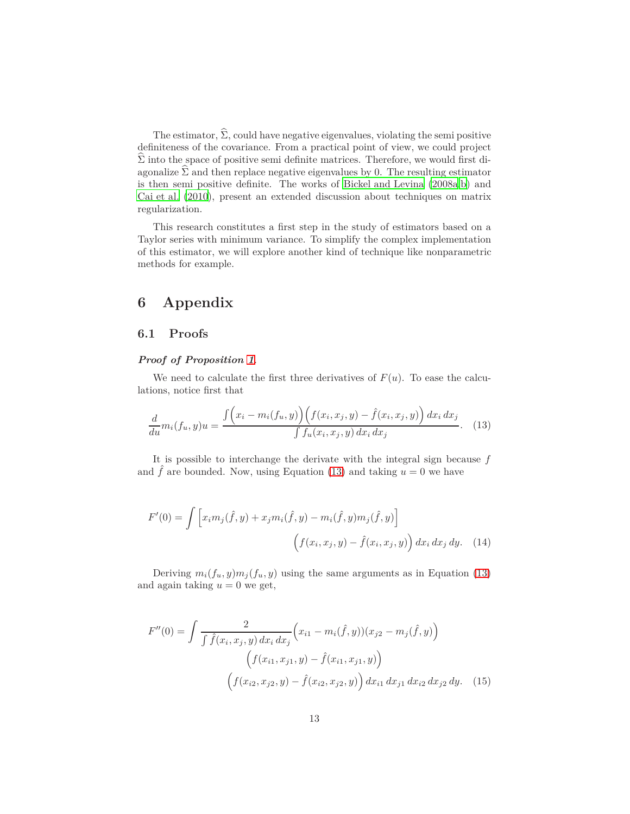The estimator,  $\hat{\Sigma}$ , could have negative eigenvalues, violating the semi positive definiteness of the covariance. From a practical point of view, we could project  $\Sigma$  into the space of positive semi definite matrices. Therefore, we would first diagonalize  $\Sigma$  and then replace negative eigenvalues by 0. The resulting estimator is then semi positive definite. The works of [Bickel and Levina](#page-19-9) [\(2008a](#page-19-9)[,b](#page-19-10)) and [Cai et al. \(2010](#page-19-11)), present an extended discussion about techniques on matrix regularization.

This research constitutes a first step in the study of estimators based on a Taylor series with minimum variance. To simplify the complex implementation of this estimator, we will explore another kind of technique like nonparametric methods for example.

# <span id="page-12-0"></span>**6 Appendix**

#### **6.1 Proofs**

#### *Proof of Proposition [1](#page-4-1).*

We need to calculate the first three derivatives of  $F(u)$ . To ease the calculations, notice first that

<span id="page-12-1"></span>
$$
\frac{d}{du}m_i(f_u, y)u = \frac{\int (x_i - m_i(f_u, y)) \Big( f(x_i, x_j, y) - \hat{f}(x_i, x_j, y) \Big) dx_i dx_j}{\int f_u(x_i, x_j, y) dx_i dx_j}.
$$
(13)

It is possible to interchange the derivate with the integral sign because *f* and  $\hat{f}$  are bounded. Now, using Equation [\(13\)](#page-12-1) and taking  $u = 0$  we have

<span id="page-12-2"></span>
$$
F'(0) = \int \left[ x_i m_j(\hat{f}, y) + x_j m_i(\hat{f}, y) - m_i(\hat{f}, y) m_j(\hat{f}, y) \right]
$$

$$
\left( f(x_i, x_j, y) - \hat{f}(x_i, x_j, y) \right) dx_i dx_j dy. \quad (14)
$$

Deriving  $m_i(f_u, y)m_j(f_u, y)$  using the same arguments as in Equation [\(13\)](#page-12-1) and again taking  $u = 0$  we get,

<span id="page-12-3"></span>
$$
F''(0) = \int \frac{2}{\int \hat{f}(x_i, x_j, y) dx_i dx_j} (x_{i1} - m_i(\hat{f}, y))(x_{j2} - m_j(\hat{f}, y))
$$

$$
(f(x_{i1}, x_{j1}, y) - \hat{f}(x_{i1}, x_{j1}, y))
$$

$$
(f(x_{i2}, x_{j2}, y) - \hat{f}(x_{i2}, x_{j2}, y)) dx_{i1} dx_{j1} dx_{i2} dx_{j2} dy. (15)
$$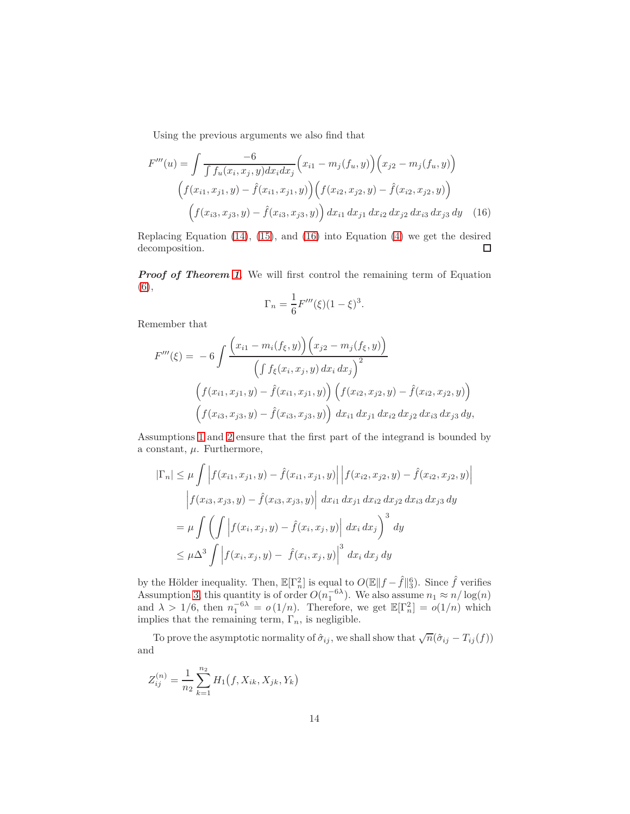Using the previous arguments we also find that

$$
F'''(u) = \int \frac{-6}{\int f_u(x_i, x_j, y) dx_i dx_j} (x_{i1} - m_j(f_u, y)) (x_{j2} - m_j(f_u, y))
$$

$$
(f(x_{i1}, x_{j1}, y) - \hat{f}(x_{i1}, x_{j1}, y)) (f(x_{i2}, x_{j2}, y) - \hat{f}(x_{i2}, x_{j2}, y))
$$

$$
(f(x_{i3}, x_{j3}, y) - \hat{f}(x_{i3}, x_{j3}, y)) dx_{i1} dx_{j1} dx_{i2} dx_{j2} dx_{i3} dx_{j3} dy
$$
(16)

Replacing Equation [\(14\)](#page-12-2), [\(15\)](#page-12-3), and [\(16\)](#page-13-0) into Equation [\(4\)](#page-3-1) we get the desired decomposition.  $\Box$ 

*Proof of Theorem [1](#page-8-1).* We will first control the remaining term of Equation [\(6\)](#page-4-2),

<span id="page-13-0"></span>
$$
\Gamma_n = \frac{1}{6} F'''(\xi)(1 - \xi)^3.
$$

Remember that

$$
F'''(\xi) = -6 \int \frac{\left(x_{i1} - m_i(f_{\xi}, y)\right)\left(x_{j2} - m_j(f_{\xi}, y)\right)}{\left(\int f_{\xi}(x_i, x_j, y) dx_i dx_j\right)^2} \left(f(x_{i1}, x_{j1}, y) - \hat{f}(x_{i1}, x_{j1}, y)\right) \left(f(x_{i2}, x_{j2}, y) - \hat{f}(x_{i2}, x_{j2}, y)\right) \left(f(x_{i3}, x_{j3}, y) - \hat{f}(x_{i3}, x_{j3}, y)\right) dx_{i1} dx_{j1} dx_{i2} dx_{j2} dx_{i3} dx_{j3} dy,
$$

Assumptions [1](#page-6-0) and [2](#page-6-1) ensure that the first part of the integrand is bounded by a constant, *µ*. Furthermore,

$$
|\Gamma_n| \leq \mu \int \left| f(x_{i1}, x_{j1}, y) - \hat{f}(x_{i1}, x_{j1}, y) \right| \left| f(x_{i2}, x_{j2}, y) - \hat{f}(x_{i2}, x_{j2}, y) \right|
$$
  
\n
$$
\left| f(x_{i3}, x_{j3}, y) - \hat{f}(x_{i3}, x_{j3}, y) \right| dx_{i1} dx_{j1} dx_{i2} dx_{j2} dx_{i3} dx_{j3} dy
$$
  
\n
$$
= \mu \int \left( \int \left| f(x_i, x_j, y) - \hat{f}(x_i, x_j, y) \right| dx_i dx_j \right)^3 dy
$$
  
\n
$$
\leq \mu \Delta^3 \int \left| f(x_i, x_j, y) - \hat{f}(x_i, x_j, y) \right|^3 dx_i dx_j dy
$$

by the Hölder inequality. Then,  $\mathbb{E}[\Gamma_n^2]$  is equal to  $O(\mathbb{E}||f - \hat{f}||_3^6)$ . Since  $\hat{f}$  verifies Assumption [3,](#page-6-2) this quantity is of order  $O(n_1^{-6\lambda})$ . We also assume  $n_1 \approx n/\log(n)$ and  $\lambda > 1/6$ , then  $n_1^{-6\lambda} = o(1/n)$ . Therefore, we get  $\mathbb{E}[\Gamma_n^2] = o(1/n)$  which implies that the remaining term, Γ*n*, is negligible.

To prove the asymptotic normality of  $\hat{\sigma}_{ij}$ , we shall show that  $\sqrt{n}(\hat{\sigma}_{ij} - T_{ij}(f))$ and

$$
Z_{ij}^{(n)} = \frac{1}{n_2} \sum_{k=1}^{n_2} H_1(f, X_{ik}, X_{jk}, Y_k)
$$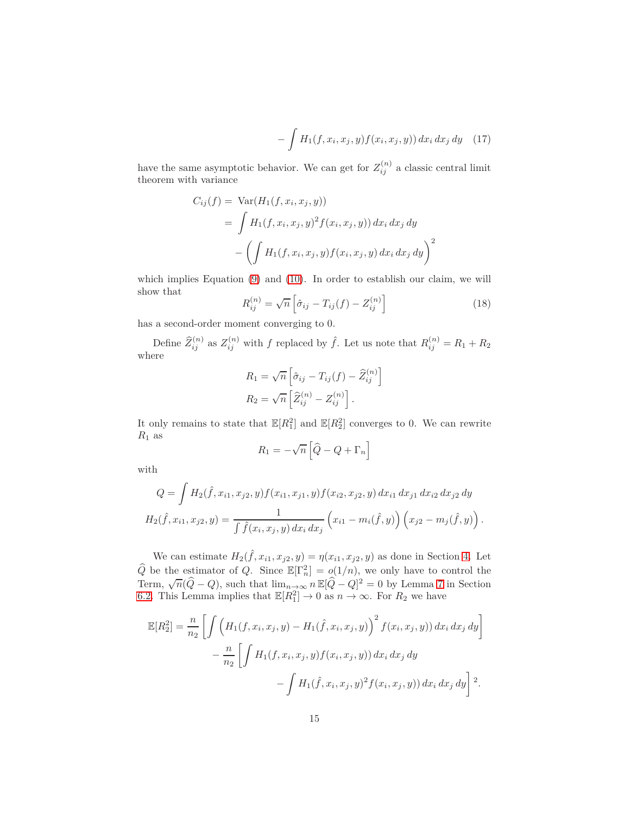<span id="page-14-1"></span>
$$
- \int H_1(f, x_i, x_j, y) f(x_i, x_j, y) dx_i dx_j dy \quad (17)
$$

have the same asymptotic behavior. We can get for  $Z_{ij}^{(n)}$  a classic central limit theorem with variance

$$
C_{ij}(f) = \text{Var}(H_1(f, x_i, x_j, y))
$$
  
=  $\int H_1(f, x_i, x_j, y)^2 f(x_i, x_j, y)) dx_i dx_j dy$   
-  $\left(\int H_1(f, x_i, x_j, y) f(x_i, x_j, y) dx_i dx_j dy\right)^2$ 

which implies Equation [\(9\)](#page-8-3) and [\(10\)](#page-8-4). In order to establish our claim, we will show that

<span id="page-14-0"></span>
$$
R_{ij}^{(n)} = \sqrt{n} \left[ \hat{\sigma}_{ij} - T_{ij}(f) - Z_{ij}^{(n)} \right]
$$
 (18)

has a second-order moment converging to 0.

Define  $\widehat{Z}_{ij}^{(n)}$  as  $Z_{ij}^{(n)}$  with *f* replaced by  $\widehat{f}$ . Let us note that  $R_{ij}^{(n)} = R_1 + R_2$ where

$$
R_1 = \sqrt{n} \left[ \hat{\sigma}_{ij} - T_{ij}(f) - \hat{Z}_{ij}^{(n)} \right]
$$
  

$$
R_2 = \sqrt{n} \left[ \hat{Z}_{ij}^{(n)} - Z_{ij}^{(n)} \right].
$$

It only remains to state that  $\mathbb{E}[R_1^2]$  and  $\mathbb{E}[R_2^2]$  converges to 0. We can rewrite  $R_1$  as

$$
R_1 = -\sqrt{n} \left[ \widehat{Q} - Q + \Gamma_n \right]
$$

with

$$
Q = \int H_2(\hat{f}, x_{i1}, x_{j2}, y) f(x_{i1}, x_{j1}, y) f(x_{i2}, x_{j2}, y) dx_{i1} dx_{j1} dx_{i2} dx_{j2} dy
$$
  

$$
H_2(\hat{f}, x_{i1}, x_{j2}, y) = \frac{1}{\int \hat{f}(x_i, x_j, y) dx_i dx_j} (x_{i1} - m_i(\hat{f}, y)) (x_{j2} - m_j(\hat{f}, y)).
$$

We can estimate  $H_2(\hat{f}, x_{i1}, x_{j2}, y) = \eta(x_{i1}, x_{j2}, y)$  as done in Section [4.](#page-9-0) Let  $\widehat{Q}$  be the estimator of *Q*. Since  $\mathbb{E}[\Gamma_n^2] = o(1/n)$ , we only have to control the Term,  $\sqrt{n}(\hat{Q}-Q)$ , such that  $\lim_{n\to\infty} n \mathbb{E}[\hat{Q}-Q]^2 = 0$  by Lemma [7](#page-34-0) in Section [6.2.](#page-21-0) This Lemma implies that  $\mathbb{E}[R_1^2] \to 0$  as  $n \to \infty$ . For  $R_2$  we have

$$
\mathbb{E}[R_2^2] = \frac{n}{n_2} \left[ \int \left( H_1(f, x_i, x_j, y) - H_1(\hat{f}, x_i, x_j, y) \right)^2 f(x_i, x_j, y) dx_i dx_j dy \right] - \frac{n}{n_2} \left[ \int H_1(f, x_i, x_j, y) f(x_i, x_j, y) dx_i dx_j dy - \int H_1(\hat{f}, x_i, x_j, y)^2 f(x_i, x_j, y) dx_i dx_j dy \right]^2.
$$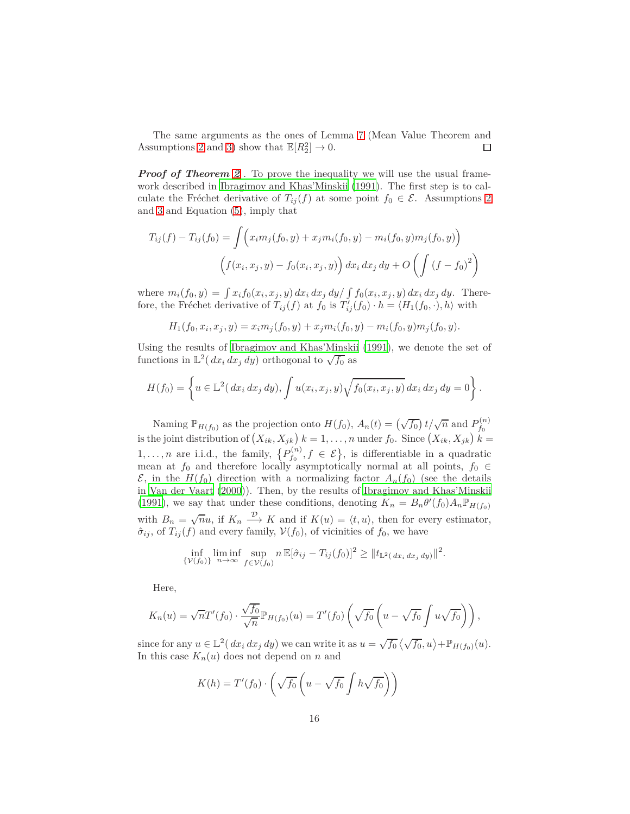The same arguments as the ones of Lemma [7](#page-34-0) (Mean Value Theorem and Assumptions [2](#page-6-1) and [3\)](#page-6-2) show that  $\mathbb{E}[R_2^2] \to 0$ .  $\Box$ 

*Proof of Theorem [2](#page-8-2).* To prove the inequality we will use the usual framework described in [Ibragimov and Khas'Minskii \(1991\)](#page-20-8). The first step is to calculate the Fréchet derivative of  $T_{ij}(f)$  at some point  $f_0 \in \mathcal{E}$ . Assumptions [2](#page-6-1) and [3](#page-6-2) and Equation [\(5\)](#page-4-0), imply that

$$
T_{ij}(f) - T_{ij}(f_0) = \int \left( x_i m_j(f_0, y) + x_j m_i(f_0, y) - m_i(f_0, y) m_j(f_0, y) \right)
$$

$$
\left( f(x_i, x_j, y) - f_0(x_i, x_j, y) \right) dx_i dx_j dy + O\left( \int (f - f_0)^2 \right)
$$

where  $m_i(f_0, y) = \int x_i f_0(x_i, x_j, y) dx_i dx_j dy / \int f_0(x_i, x_j, y) dx_i dx_j dy$ . Therefore, the Fréchet derivative of  $T_{ij}(f)$  at  $f_0$  is  $T'_{ij}(f_0) \cdot h = \langle H_1(f_0, \cdot), h \rangle$  with

$$
H_1(f_0, x_i, x_j, y) = x_i m_j(f_0, y) + x_j m_i(f_0, y) - m_i(f_0, y) m_j(f_0, y).
$$

Using the results of [Ibragimov and Khas'Minskii \(1991\)](#page-20-8), we denote the set of functions in  $\mathbb{L}^2(dx_i dx_j dy)$  orthogonal to  $\sqrt{f_0}$  as

$$
H(f_0) = \left\{ u \in \mathbb{L}^2(\, dx_i \, dx_j \, dy), \int u(x_i, x_j, y) \sqrt{f_0(x_i, x_j, y)} \, dx_i \, dx_j \, dy = 0 \right\}.
$$

Naming  $\mathbb{P}_{H(f_0)}$  as the projection onto  $H(f_0)$ ,  $A_n(t) = (\sqrt{f_0}) t/\sqrt{n}$  and  $P_{f_0}^{(n)}$ *f*0 is the joint distribution of  $(X_{ik}, X_{jk})$   $k = 1, \ldots, n$  under  $f_0$ . Since  $(X_{ik}, X_{jk})$   $k =$  $1, \ldots, n$  are i.i.d., the family,  $\{P_{f_0}^{(n)}\}$  $f_0^{(n)}, f \in \mathcal{E}$ , is differentiable in a quadratic mean at  $f_0$  and therefore locally asymptotically normal at all points,  $f_0 \in$  $\mathcal{E}$ , in the  $H(f_0)$  direction with a normalizing factor  $A_n(f_0)$  (see the details in [Van der Vaart \(2000\)](#page-20-9)). Then, by the results of [Ibragimov and Khas'Minskii](#page-20-8) [\(1991\)](#page-20-8), we say that under these conditions, denoting  $K_n = B_n \theta'(f_0) A_n \mathbb{P}_{H(f_0)}$ with  $B_n = \sqrt{n}u$ , if  $K_n \longrightarrow K$  and if  $K(u) = \langle t, u \rangle$ , then for every estimator,  $\hat{\sigma}_{ij}$ , of  $T_{ij}(f)$  and every family,  $V(f_0)$ , of vicinities of  $f_0$ , we have

$$
\inf_{\{\mathcal{V}(f_0)\}} \liminf_{n \to \infty} \sup_{f \in \mathcal{V}(f_0)} n \, \mathbb{E}[\hat{\sigma}_{ij} - T_{ij}(f_0)]^2 \geq \| t_{\mathbb{L}^2(dx_i dx_j dy)} \|^2.
$$

Here,

$$
K_n(u) = \sqrt{n} T'(f_0) \cdot \frac{\sqrt{f_0}}{\sqrt{n}} \mathbb{P}_{H(f_0)}(u) = T'(f_0) \left( \sqrt{f_0} \left( u - \sqrt{f_0} \int u \sqrt{f_0} \right) \right),
$$

since for any  $u \in L^2(dx_i dx_j dy)$  we can write it as  $u = \sqrt{f_0} \langle \sqrt{f_0}, u \rangle + \mathbb{P}_{H(f_0)}(u)$ . In this case  $K_n(u)$  does not depend on *n* and

$$
K(h) = T'(f_0) \cdot \left(\sqrt{f_0} \left(u - \sqrt{f_0} \int h \sqrt{f_0}\right)\right)
$$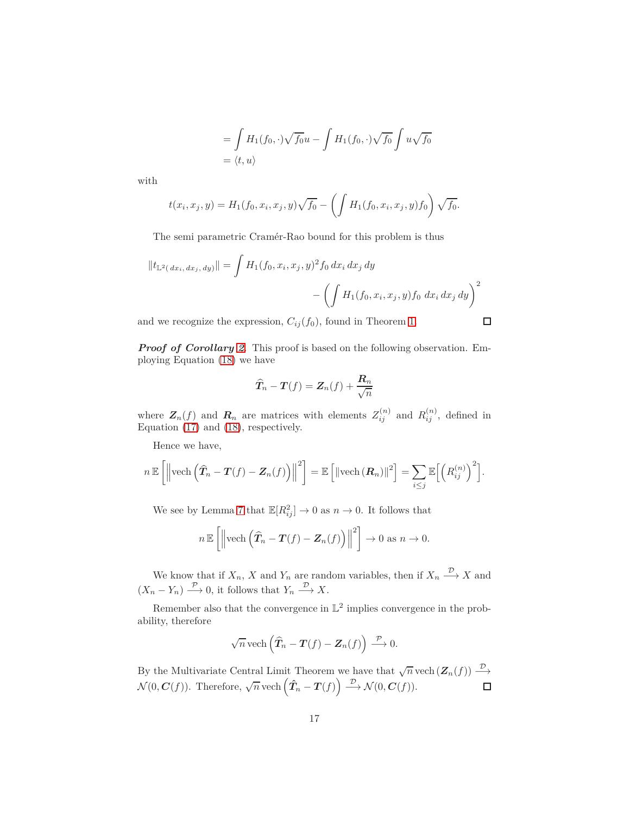$$
= \int H_1(f_0, \cdot) \sqrt{f_0} u - \int H_1(f_0, \cdot) \sqrt{f_0} \int u \sqrt{f_0} du
$$
  
=  $\langle t, u \rangle$ 

with

$$
t(x_i, x_j, y) = H_1(f_0, x_i, x_j, y) \sqrt{f_0} - \left( \int H_1(f_0, x_i, x_j, y) f_0 \right) \sqrt{f_0}.
$$

The semi parametric Cramér-Rao bound for this problem is thus

$$
||t_{\mathbb{L}^2(dx_i, dx_j, dy)}|| = \int H_1(f_0, x_i, x_j, y)^2 f_0 dx_i dx_j dy
$$

$$
- \left( \int H_1(f_0, x_i, x_j, y) f_0 dx_i dx_j dy \right)^2
$$

and we recognize the expression,  $C_{ij}(f_0)$ , found in Theorem [1.](#page-8-1)

 $\Box$ 

*Proof of Corollary [2](#page-9-1).* This proof is based on the following observation. Employing Equation [\(18\)](#page-14-0) we have

$$
\widehat{T}_n - \boldsymbol{T}(f) = \boldsymbol{Z}_n(f) + \frac{\boldsymbol{R}_n}{\sqrt{n}}
$$

where  $\mathbf{Z}_n(f)$  and  $\mathbf{R}_n$  are matrices with elements  $Z_{ij}^{(n)}$  and  $R_{ij}^{(n)}$ , defined in Equation [\(17\)](#page-14-1) and [\(18\)](#page-14-0), respectively.

Hence we have,

$$
n \mathbb{E}\left[\left\|\text{vech}\left(\widehat{T}_n - T(f) - Z_n(f)\right)\right\|^2\right] = \mathbb{E}\left[\left\|\text{vech}\left(\mathbf{R}_n\right)\right\|^2\right] = \sum_{i \leq j} \mathbb{E}\left[\left(R_{ij}^{(n)}\right)^2\right].
$$

We see by Lemma [7](#page-34-0) that  $\mathbb{E}[R_{ij}^2] \to 0$  as  $n \to 0$ . It follows that

$$
n \mathbb{E}\left[\left\|\text{vech}\left(\widehat{T}_n - \boldsymbol{T}(f) - \boldsymbol{Z}_n(f)\right)\right\|^2\right] \to 0 \text{ as } n \to 0.
$$

We know that if  $X_n$ ,  $X$  and  $Y_n$  are random variables, then if  $X_n \xrightarrow{\mathcal{D}} X$  and  $(X_n - Y_n) \xrightarrow{\mathcal{P}} 0$ , it follows that  $Y_n \xrightarrow{\mathcal{D}} X$ .

Remember also that the convergence in  $\mathbb{L}^2$  implies convergence in the probability, therefore

$$
\sqrt{n}\operatorname{vech}\left(\widehat{T}_n-\boldsymbol{T}(f)-\boldsymbol{Z}_n(f)\right)\stackrel{\mathcal{P}}{\longrightarrow} 0.
$$

By the Multivariate Central Limit Theorem we have that  $\sqrt{n}$  vech  $(\mathbb{Z}_n(f)) \stackrel{\mathcal{D}}{\longrightarrow}$  $\mathcal{N}(0, \mathbf{C}(f))$ . Therefore,  $\sqrt{n}$  vech  $(\hat{\mathbf{T}}_n - \mathbf{T}(f)) \xrightarrow{\mathcal{D}} \mathcal{N}(0, \mathbf{C}(f))$ .  $\Box$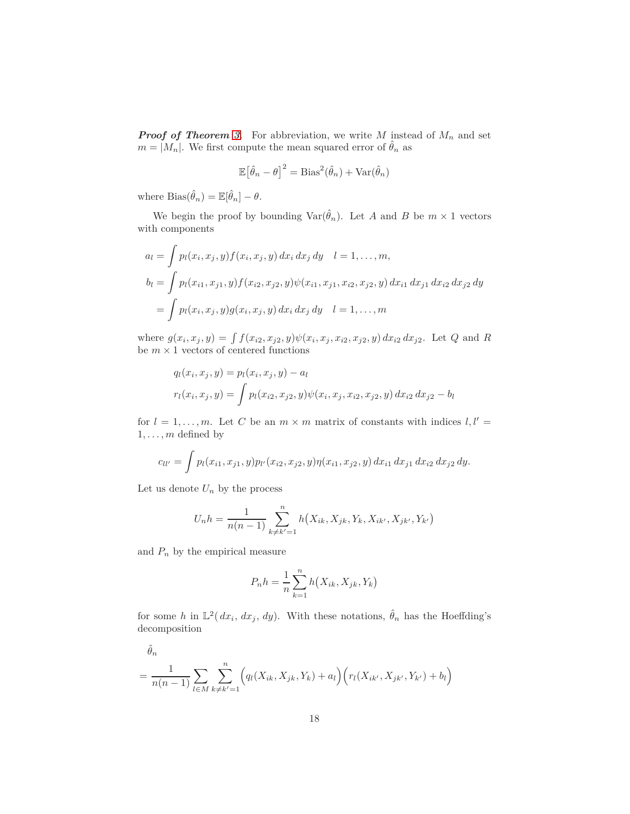*Proof of Theorem [3](#page-10-1).* For abbreviation, we write  $M$  instead of  $M_n$  and set  $m = |M_n|$ . We first compute the mean squared error of  $\hat{\theta}_n$  as

$$
\mathbb{E}[\hat{\theta}_n - \theta]^2 = \text{Bias}^2(\hat{\theta}_n) + \text{Var}(\hat{\theta}_n)
$$

where  $\text{Bias}(\hat{\theta}_n) = \mathbb{E}[\hat{\theta}_n] - \theta.$ 

We begin the proof by bounding  $\text{Var}(\hat{\theta}_n)$ . Let *A* and *B* be  $m \times 1$  vectors with components

$$
a_l = \int p_l(x_i, x_j, y) f(x_i, x_j, y) dx_i dx_j dy \quad l = 1, ..., m,
$$
  
\n
$$
b_l = \int p_l(x_{i1}, x_{j1}, y) f(x_{i2}, x_{j2}, y) \psi(x_{i1}, x_{j1}, x_{i2}, x_{j2}, y) dx_{i1} dx_{j1} dx_{i2} dx_{j2} dy
$$
  
\n
$$
= \int p_l(x_i, x_j, y) g(x_i, x_j, y) dx_i dx_j dy \quad l = 1, ..., m
$$

where  $g(x_i, x_j, y) = \int f(x_{i2}, x_{j2}, y) \psi(x_i, x_j, x_{i2}, x_{j2}, y) dx_{i2} dx_{j2}$ . Let Q and R be  $m \times 1$  vectors of centered functions

$$
q_l(x_i, x_j, y) = p_l(x_i, x_j, y) - a_l
$$
  

$$
r_l(x_i, x_j, y) = \int p_l(x_{i2}, x_{j2}, y) \psi(x_i, x_j, x_{i2}, x_{j2}, y) dx_{i2} dx_{j2} - b_l
$$

for  $l = 1, \ldots, m$ . Let C be an  $m \times m$  matrix of constants with indices  $l, l' =$  $1, \ldots, m$  defined by

$$
c_{ll'} = \int p_l(x_{i1}, x_{j1}, y) p_{l'}(x_{i2}, x_{j2}, y) \eta(x_{i1}, x_{j2}, y) dx_{i1} dx_{j1} dx_{i2} dx_{j2} dy.
$$

Let us denote  $U_n$  by the process

$$
U_n h = \frac{1}{n(n-1)} \sum_{k \neq k'=1}^n h(X_{ik}, X_{jk}, Y_k, X_{ik'}, X_{jk'}, Y_{k'})
$$

and  $P_n$  by the empirical measure

$$
P_n h = \frac{1}{n} \sum_{k=1}^n h(X_{ik}, X_{jk}, Y_k)
$$

for some *h* in  $\mathbb{L}^2(dx_i, dx_j, dy)$ . With these notations,  $\hat{\theta}_n$  has the Hoeffding's decomposition

$$
\hat{\theta}_n = \frac{1}{n(n-1)} \sum_{l \in M} \sum_{k \neq k'=1}^n \left( q_l(X_{ik}, X_{jk}, Y_k) + a_l \right) \left( r_l(X_{ik'}, X_{jk'}, Y_{k'}) + b_l \right)
$$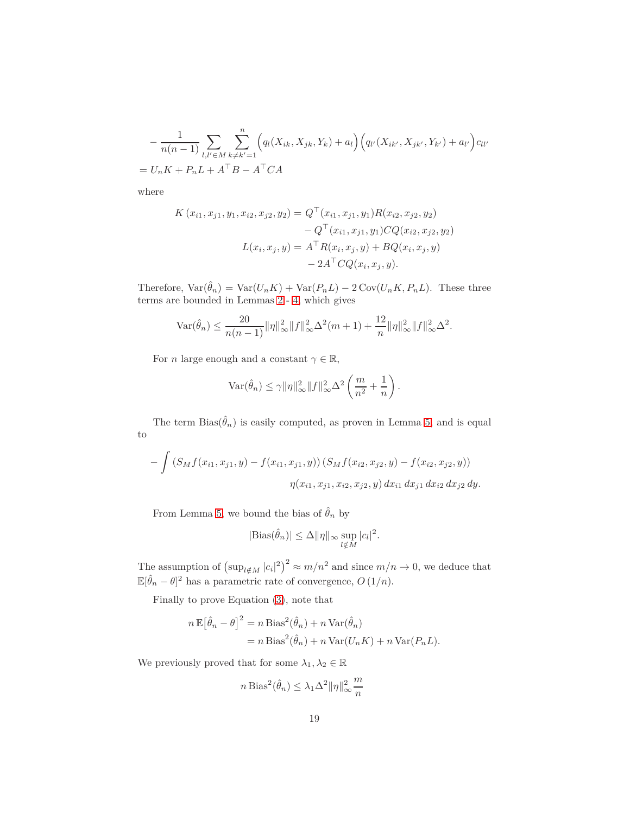$$
-\frac{1}{n(n-1)} \sum_{l,l' \in M} \sum_{k \neq k'=1}^{n} \Big( q_l(X_{ik}, X_{jk}, Y_k) + a_l \Big) \Big( q_{l'}(X_{ik'}, X_{jk'}, Y_{k'}) + a_{l'} \Big) c_{ll'}
$$
  
=  $U_n K + P_n L + A^{\top} B - A^{\top} C A$ 

where

$$
K(x_{i1}, x_{j1}, y_1, x_{i2}, x_{j2}, y_2) = Q^{\top}(x_{i1}, x_{j1}, y_1) R(x_{i2}, x_{j2}, y_2)
$$

$$
- Q^{\top}(x_{i1}, x_{j1}, y_1) C Q(x_{i2}, x_{j2}, y_2)
$$

$$
L(x_i, x_j, y) = A^{\top} R(x_i, x_j, y) + B Q(x_i, x_j, y)
$$

$$
- 2A^{\top} C Q(x_i, x_j, y).
$$

Therefore,  $\text{Var}(\hat{\theta}_n) = \text{Var}(U_n K) + \text{Var}(P_n L) - 2 \text{Cov}(U_n K, P_n L)$ . These three terms are bounded in Lemmas [2](#page-22-0)- [4,](#page-30-0) which gives

$$
\text{Var}(\hat{\theta}_n) \le \frac{20}{n(n-1)} \|\eta\|_{\infty}^2 \|f\|_{\infty}^2 \Delta^2(m+1) + \frac{12}{n} \|\eta\|_{\infty}^2 \|f\|_{\infty}^2 \Delta^2.
$$

For *n* large enough and a constant  $\gamma \in \mathbb{R}$ ,

$$
\text{Var}(\hat{\theta}_n) \leq \gamma ||\eta||_{\infty}^2 ||f||_{\infty}^2 \Delta^2 \left(\frac{m}{n^2} + \frac{1}{n}\right).
$$

The term  $Bias(\hat{\theta}_n)$  is easily computed, as proven in Lemma [5,](#page-31-0) and is equal to

$$
- \int \left( S_M f(x_{i1}, x_{j1}, y) - f(x_{i1}, x_{j1}, y) \right) \left( S_M f(x_{i2}, x_{j2}, y) - f(x_{i2}, x_{j2}, y) \right) \eta(x_{i1}, x_{j1}, x_{i2}, x_{j2}, y) dx_{i1} dx_{j1} dx_{i2} dx_{j2} dy.
$$

From Lemma [5,](#page-31-0) we bound the bias of  $\hat{\theta}_n$  by

$$
|\text{Bias}(\hat{\theta}_n)| \leq \Delta ||\eta||_{\infty} \sup_{l \notin M} |c_l|^2.
$$

The assumption of  $(\sup_{l \notin M} |c_i|^2)^2 \approx m/n^2$  and since  $m/n \to 0$ , we deduce that  $\mathbb{E}[\hat{\theta}_n - \theta]^2$  has a parametric rate of convergence,  $O(1/n)$ .

Finally to prove Equation [\(3\)](#page-10-1), note that

$$
n \mathbb{E}[\hat{\theta}_n - \theta]^2 = n \text{ Bias}^2(\hat{\theta}_n) + n \text{Var}(\hat{\theta}_n)
$$
  
=  $n \text{Bias}^2(\hat{\theta}_n) + n \text{Var}(U_n K) + n \text{Var}(P_n L).$ 

We previously proved that for some  $\lambda_1, \lambda_2 \in \mathbb{R}$ 

$$
n \operatorname{Bias}^2(\hat{\theta}_n) \le \lambda_1 \Delta^2 \|\eta\|_{\infty}^2 \frac{m}{n}
$$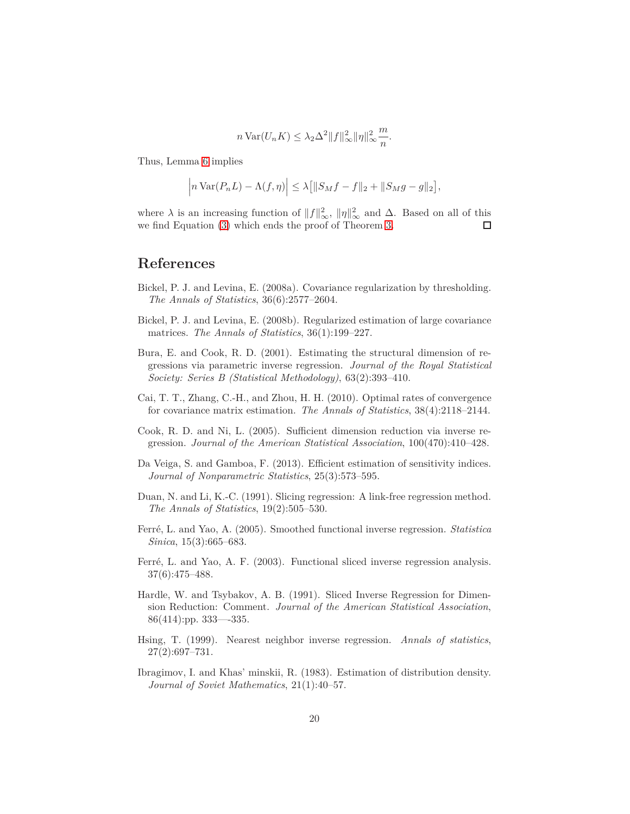$$
n \operatorname{Var}(U_n K) \le \lambda_2 \Delta^2 \|f\|_{\infty}^2 \|\eta\|_{\infty}^2 \frac{m}{n}.
$$

Thus, Lemma [6](#page-31-1) implies

$$
\left| n \operatorname{Var}(P_n L) - \Lambda(f, \eta) \right| \le \lambda \left[ \| S_M f - f \|_2 + \| S_M g - g \|_2 \right],
$$

where  $\lambda$  is an increasing function of  $||f||_{\infty}^2$ ,  $||\eta||_{\infty}^2$  and  $\Delta$ . Based on all of this we find Equation [\(3\)](#page-10-1) which ends the proof of Theorem [3.](#page-10-1)  $\Box$ 

#### **References**

- <span id="page-19-9"></span>Bickel, P. J. and Levina, E. (2008a). Covariance regularization by thresholding. *The Annals of Statistics*, 36(6):2577–2604.
- <span id="page-19-10"></span>Bickel, P. J. and Levina, E. (2008b). Regularized estimation of large covariance matrices. *The Annals of Statistics*, 36(1):199–227.
- <span id="page-19-5"></span>Bura, E. and Cook, R. D. (2001). Estimating the structural dimension of regressions via parametric inverse regression. *Journal of the Royal Statistical Society: Series B (Statistical Methodology)*, 63(2):393–410.
- <span id="page-19-11"></span>Cai, T. T., Zhang, C.-H., and Zhou, H. H. (2010). Optimal rates of convergence for covariance matrix estimation. *The Annals of Statistics*, 38(4):2118–2144.
- <span id="page-19-6"></span>Cook, R. D. and Ni, L. (2005). Sufficient dimension reduction via inverse regression. *Journal of the American Statistical Association*, 100(470):410–428.
- <span id="page-19-7"></span>Da Veiga, S. and Gamboa, F. (2013). Efficient estimation of sensitivity indices. *Journal of Nonparametric Statistics*, 25(3):573–595.
- <span id="page-19-0"></span>Duan, N. and Li, K.-C. (1991). Slicing regression: A link-free regression method. *The Annals of Statistics*, 19(2):505–530.
- <span id="page-19-3"></span>Ferré, L. and Yao, A. (2005). Smoothed functional inverse regression. *Statistica Sinica*, 15(3):665–683.
- <span id="page-19-2"></span>Ferré, L. and Yao, A. F. (2003). Functional sliced inverse regression analysis. 37(6):475–488.
- <span id="page-19-1"></span>Hardle, W. and Tsybakov, A. B. (1991). Sliced Inverse Regression for Dimension Reduction: Comment. *Journal of the American Statistical Association*, 86(414):pp. 333—-335.
- <span id="page-19-4"></span>Hsing, T. (1999). Nearest neighbor inverse regression. *Annals of statistics*, 27(2):697–731.
- <span id="page-19-8"></span>Ibragimov, I. and Khas' minskii, R. (1983). Estimation of distribution density. *Journal of Soviet Mathematics*, 21(1):40–57.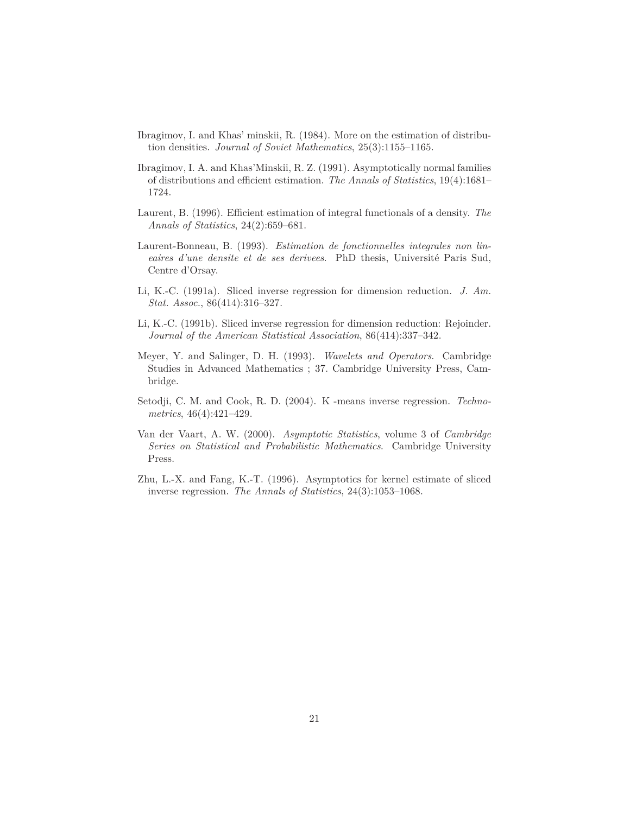- <span id="page-20-6"></span>Ibragimov, I. and Khas' minskii, R. (1984). More on the estimation of distribution densities. *Journal of Soviet Mathematics*, 25(3):1155–1165.
- <span id="page-20-8"></span>Ibragimov, I. A. and Khas'Minskii, R. Z. (1991). Asymptotically normal families of distributions and efficient estimation. *The Annals of Statistics*, 19(4):1681– 1724.
- <span id="page-20-4"></span>Laurent, B. (1996). Efficient estimation of integral functionals of a density. *The Annals of Statistics*, 24(2):659–681.
- <span id="page-20-7"></span>Laurent-Bonneau, B. (1993). *Estimation de fonctionnelles integrales non lineaires d'une densite et de ses derivees*. PhD thesis, Université Paris Sud, Centre d'Orsay.
- <span id="page-20-0"></span>Li, K.-C. (1991a). Sliced inverse regression for dimension reduction. *J. Am. Stat. Assoc.*, 86(414):316–327.
- <span id="page-20-1"></span>Li, K.-C. (1991b). Sliced inverse regression for dimension reduction: Rejoinder. *Journal of the American Statistical Association*, 86(414):337–342.
- <span id="page-20-5"></span>Meyer, Y. and Salinger, D. H. (1993). *Wavelets and Operators*. Cambridge Studies in Advanced Mathematics ; 37. Cambridge University Press, Cambridge.
- <span id="page-20-3"></span>Setodji, C. M. and Cook, R. D. (2004). K -means inverse regression. *Technometrics*, 46(4):421–429.
- <span id="page-20-9"></span>Van der Vaart, A. W. (2000). *Asymptotic Statistics*, volume 3 of *Cambridge Series on Statistical and Probabilistic Mathematics*. Cambridge University Press.
- <span id="page-20-2"></span>Zhu, L.-X. and Fang, K.-T. (1996). Asymptotics for kernel estimate of sliced inverse regression. *The Annals of Statistics*, 24(3):1053–1068.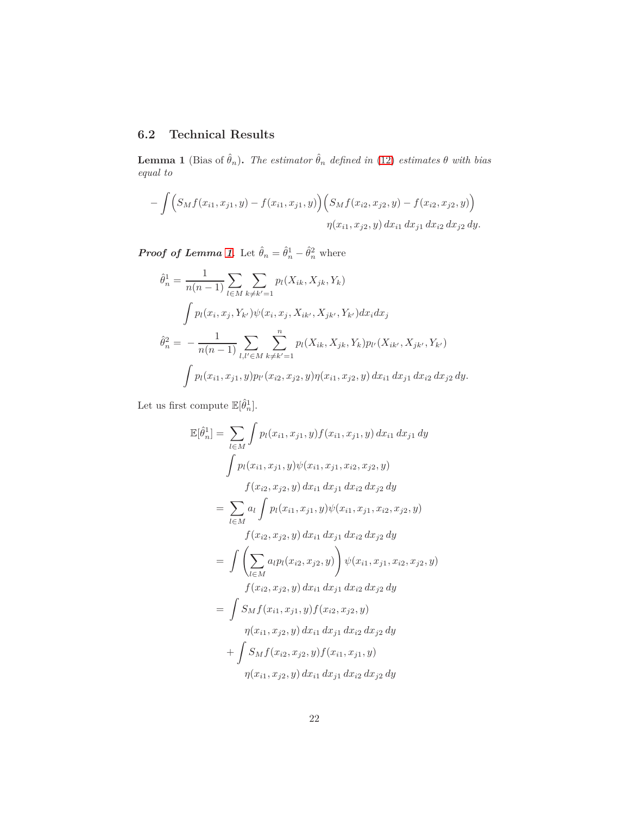# <span id="page-21-0"></span>**6.2 Technical Results**

<span id="page-21-1"></span>**Lemma 1** (Bias of  $\hat{\theta}_n$ ). The estimator  $\hat{\theta}_n$  defined in [\(12\)](#page-10-2) estimates  $\theta$  with bias *equal to*

$$
- \int \Big(S_Mf(x_{i1}, x_{j1}, y) - f(x_{i1}, x_{j1}, y)\Big) \Big(S_Mf(x_{i2}, x_{j2}, y) - f(x_{i2}, x_{j2}, y)\Big) \eta(x_{i1}, x_{j2}, y) dx_{i1} dx_{j1} dx_{i2} dx_{j2} dy.
$$

*Proof of Lemma [1](#page-21-1).* Let  $\hat{\theta}_n = \hat{\theta}_n^1 - \hat{\theta}_n^2$  where

$$
\hat{\theta}_n^1 = \frac{1}{n(n-1)} \sum_{l \in M} \sum_{k \neq k'=1} p_l(X_{ik}, X_{jk}, Y_k)
$$
  

$$
\int p_l(x_i, x_j, Y_{k'}) \psi(x_i, x_j, X_{ik'}, X_{jk'}, Y_{k'}) dx_i dx_j
$$
  

$$
\hat{\theta}_n^2 = -\frac{1}{n(n-1)} \sum_{l,l' \in M} \sum_{k \neq k'=1}^n p_l(X_{ik}, X_{jk}, Y_k) p_{l'}(X_{ik'}, X_{jk'}, Y_{k'})
$$
  

$$
\int p_l(x_{i1}, x_{j1}, y) p_{l'}(x_{i2}, x_{j2}, y) \eta(x_{i1}, x_{j2}, y) dx_{i1} dx_{j1} dx_{i2} dx_{j2} dy.
$$

Let us first compute  $\mathbb{E}[\hat{\theta}_n^1]$ .

$$
\mathbb{E}[\hat{\theta}_n^1] = \sum_{l \in M} \int p_l(x_{i1}, x_{j1}, y) f(x_{i1}, x_{j1}, y) dx_{i1} dx_{j1} dy
$$

$$
\int p_l(x_{i1}, x_{j1}, y) \psi(x_{i1}, x_{j1}, x_{i2}, x_{j2}, y)
$$

$$
f(x_{i2}, x_{j2}, y) dx_{i1} dx_{j1} dx_{i2} dx_{j2} dy
$$

$$
= \sum_{l \in M} a_l \int p_l(x_{i1}, x_{j1}, y) \psi(x_{i1}, x_{j1}, x_{i2}, x_{j2}, y)
$$

$$
f(x_{i2}, x_{j2}, y) dx_{i1} dx_{j1} dx_{i2} dx_{j2} dy
$$

$$
= \int \left( \sum_{l \in M} a_l p_l(x_{i2}, x_{j2}, y) \right) \psi(x_{i1}, x_{j1}, x_{i2}, x_{j2}, y)
$$

$$
f(x_{i2}, x_{j2}, y) dx_{i1} dx_{j1} dx_{i2} dx_{j2} dy
$$

$$
= \int S_M f(x_{i1}, x_{j1}, y) f(x_{i2}, x_{j2}, y)
$$

$$
\eta(x_{i1}, x_{j2}, y) dx_{i1} dx_{j1} dx_{i2} dx_{j2} dy
$$

$$
+ \int S_M f(x_{i2}, x_{j2}, y) f(x_{i1}, x_{j1}, y)
$$

$$
\eta(x_{i1}, x_{j2}, y) dx_{i1} dx_{j1} dx_{i2} dx_{j2} dy
$$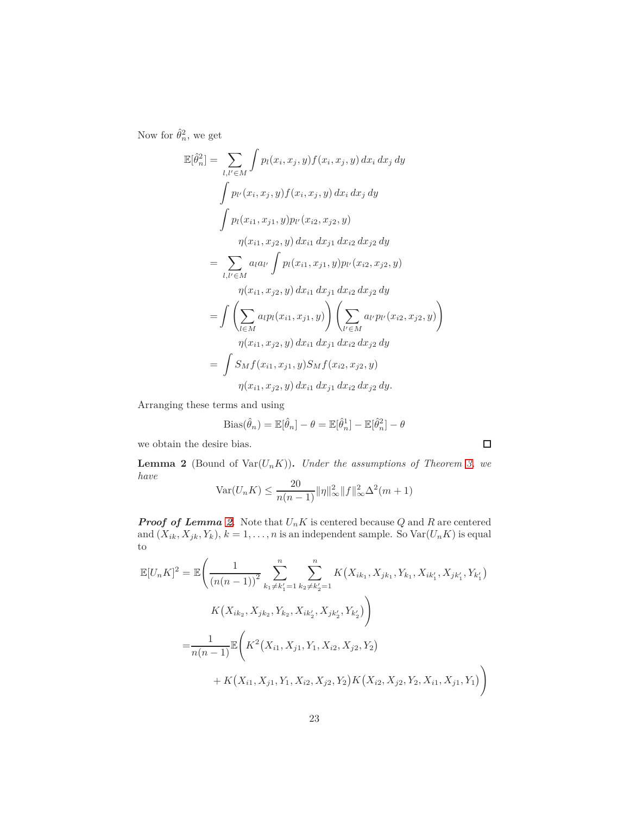Now for  $\hat{\theta}_n^2$ , we get

$$
\mathbb{E}[\hat{\theta}_n^2] = \sum_{l,l' \in M} \int p_l(x_i, x_j, y) f(x_i, x_j, y) dx_i dx_j dy
$$
  

$$
\int p_{l'}(x_i, x_j, y) f(x_i, x_j, y) dx_i dx_j dy
$$
  

$$
\int p_l(x_{i1}, x_{j1}, y) p_{l'}(x_{i2}, x_{j2}, y)
$$
  

$$
\eta(x_{i1}, x_{j2}, y) dx_{i1} dx_{j1} dx_{i2} dx_{j2} dy
$$
  

$$
= \sum_{l,l' \in M} a_l a_{l'} \int p_l(x_{i1}, x_{j1}, y) p_{l'}(x_{i2}, x_{j2}, y)
$$
  

$$
\eta(x_{i1}, x_{j2}, y) dx_{i1} dx_{j1} dx_{i2} dx_{j2} dy
$$
  

$$
= \int \left( \sum_{l \in M} a_l p_l(x_{i1}, x_{j1}, y) \right) \left( \sum_{l' \in M} a_{l'} p_{l'}(x_{i2}, x_{j2}, y) \right)
$$
  

$$
\eta(x_{i1}, x_{j2}, y) dx_{i1} dx_{j1} dx_{i2} dx_{j2} dy
$$
  

$$
= \int S_M f(x_{i1}, x_{j1}, y) S_M f(x_{i2}, x_{j2}, y)
$$
  

$$
\eta(x_{i1}, x_{j2}, y) dx_{i1} dx_{j1} dx_{i2} dx_{j2} dy.
$$

Arranging these terms and using

$$
Bias(\hat{\theta}_n) = \mathbb{E}[\hat{\theta}_n] - \theta = \mathbb{E}[\hat{\theta}_n^1] - \mathbb{E}[\hat{\theta}_n^2] - \theta
$$

we obtain the desire bias.

<span id="page-22-0"></span>**Lemma 2** (Bound of Var $(U_n K)$ ). *Under the assumptions of Theorem [3,](#page-10-1) we have*

$$
\text{Var}(U_n K) \le \frac{20}{n(n-1)} \|\eta\|_{\infty}^2 \|f\|_{\infty}^2 \Delta^2(m+1)
$$

*Proof of Lemma [2](#page-22-0).* Note that  $U_nK$  is centered because Q and R are centered and  $(X_{ik}, X_{jk}, Y_k)$ ,  $k = 1, \ldots, n$  is an independent sample. So  $\text{Var}(U_n K)$  is equal to

$$
\mathbb{E}[U_n K]^2 = \mathbb{E}\left(\frac{1}{(n(n-1))^2} \sum_{k_1 \neq k_1'=1}^n \sum_{k_2 \neq k_2'=1}^n K(X_{ik_1}, X_{jk_1}, Y_{k_1}, X_{ik_1'}, X_{jk_1'}, Y_{k_1'})\right)
$$
  

$$
= \frac{1}{n(n-1)} \mathbb{E}\left(K^2(X_{i1}, X_{j1}, Y_1, X_{i2}, X_{j2}, Y_2)\right)
$$
  

$$
+ K(X_{i1}, X_{j1}, Y_1, X_{i2}, X_{j2}, Y_2)K(X_{i2}, X_{j2}, Y_2, X_{i1}, X_{j1}, Y_1)\right)
$$

 $\Box$ 

 $\setminus$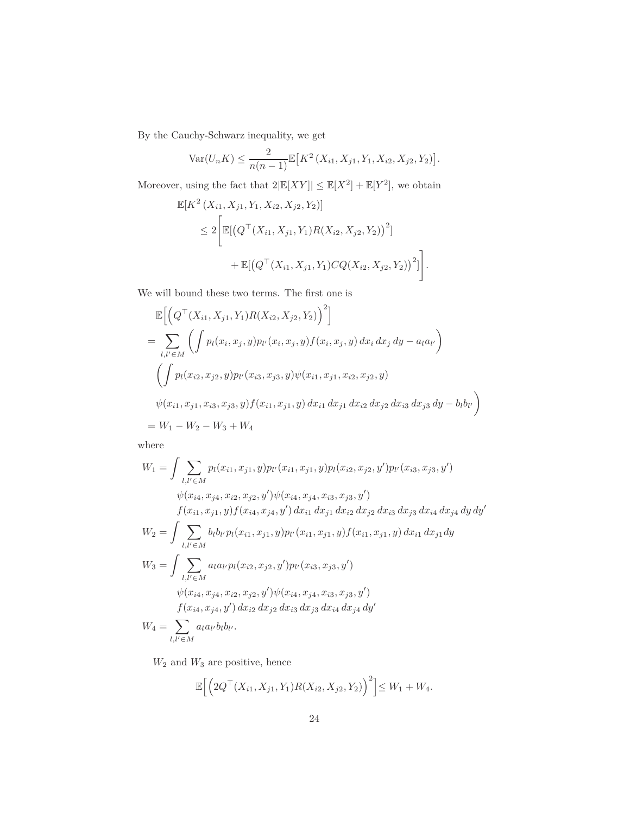By the Cauchy-Schwarz inequality, we get

$$
Var(U_n K) \le \frac{2}{n(n-1)} \mathbb{E}\left[K^2\left(X_{i1}, X_{j1}, Y_1, X_{i2}, X_{j2}, Y_2\right)\right].
$$

Moreover, using the fact that  $2|\mathbb{E}[XY]| \leq \mathbb{E}[X^2] + \mathbb{E}[Y^2]$ , we obtain

$$
\mathbb{E}[K^2(X_{i1}, X_{j1}, Y_1, X_{i2}, X_{j2}, Y_2)]
$$
  
\n
$$
\leq 2 \Bigg[ \mathbb{E}[(Q^{\top}(X_{i1}, X_{j1}, Y_1)R(X_{i2}, X_{j2}, Y_2))^2]
$$
  
\n
$$
+ \mathbb{E}[(Q^{\top}(X_{i1}, X_{j1}, Y_1)CQ(X_{i2}, X_{j2}, Y_2))^2] \Bigg].
$$

We will bound these two terms. The first one is

$$
\mathbb{E}\Big[\Big(Q^{\top}(X_{i1}, X_{j1}, Y_1)R(X_{i2}, X_{j2}, Y_2)\Big)^2\Big]
$$
\n
$$
= \sum_{l,l'\in M} \Big(\int p_l(x_i, x_j, y)p_{l'}(x_i, x_j, y)f(x_i, x_j, y) dx_i dx_j dy - a_l a_{l'}\Big)
$$
\n
$$
\Big(\int p_l(x_{i2}, x_{j2}, y)p_{l'}(x_{i3}, x_{j3}, y)\psi(x_{i1}, x_{j1}, x_{i2}, x_{j2}, y)
$$
\n
$$
\psi(x_{i1}, x_{j1}, x_{i3}, x_{j3}, y)f(x_{i1}, x_{j1}, y) dx_{i1} dx_{j1} dx_{i2} dx_{j2} dx_{i3} dx_{j3} dy - b_l b_{l'}\Big)
$$
\n
$$
= W_1 - W_2 - W_3 + W_4
$$

where

$$
W_{1} = \int \sum_{l,l' \in M} p_{l}(x_{i1}, x_{j1}, y) p_{l'}(x_{i1}, x_{j1}, y) p_{l}(x_{i2}, x_{j2}, y') p_{l'}(x_{i3}, x_{j3}, y')
$$
  
\n
$$
\psi(x_{i4}, x_{j4}, x_{i2}, x_{j2}, y') \psi(x_{i4}, x_{j4}, x_{i3}, x_{j3}, y')
$$
  
\n
$$
f(x_{i1}, x_{j1}, y) f(x_{i4}, x_{j4}, y') dx_{i1} dx_{j1} dx_{i2} dx_{j2} dx_{i3} dx_{j3} dx_{i4} dx_{j4} dy dy'
$$
  
\n
$$
W_{2} = \int \sum_{l,l' \in M} b_{l} b_{l'} p_{l}(x_{i1}, x_{j1}, y) p_{l'}(x_{i1}, x_{j1}, y) f(x_{i1}, x_{j1}, y) dx_{i1} dx_{j1} dy
$$
  
\n
$$
W_{3} = \int \sum_{l,l' \in M} a_{l} a_{l'} p_{l}(x_{i2}, x_{j2}, y') p_{l'}(x_{i3}, x_{j3}, y')
$$
  
\n
$$
\psi(x_{i4}, x_{j4}, x_{i2}, x_{j2}, y') \psi(x_{i4}, x_{j4}, x_{i3}, x_{j3}, y')
$$
  
\n
$$
f(x_{i4}, x_{j4}, y') dx_{i2} dx_{j2} dx_{i3} dx_{j3} dx_{i4} dx_{j4} dy'
$$
  
\n
$$
W_{4} = \sum_{l,l' \in M} a_{l} a_{l'} b_{l} b_{l'}.
$$

 $W_2$  and  $W_3$  are positive, hence

$$
\mathbb{E}\Big[\Big(2Q^\top(X_{i1}, X_{j1}, Y_1)R(X_{i2}, X_{j2}, Y_2)\Big)^2\Big]\leq W_1+W_4.
$$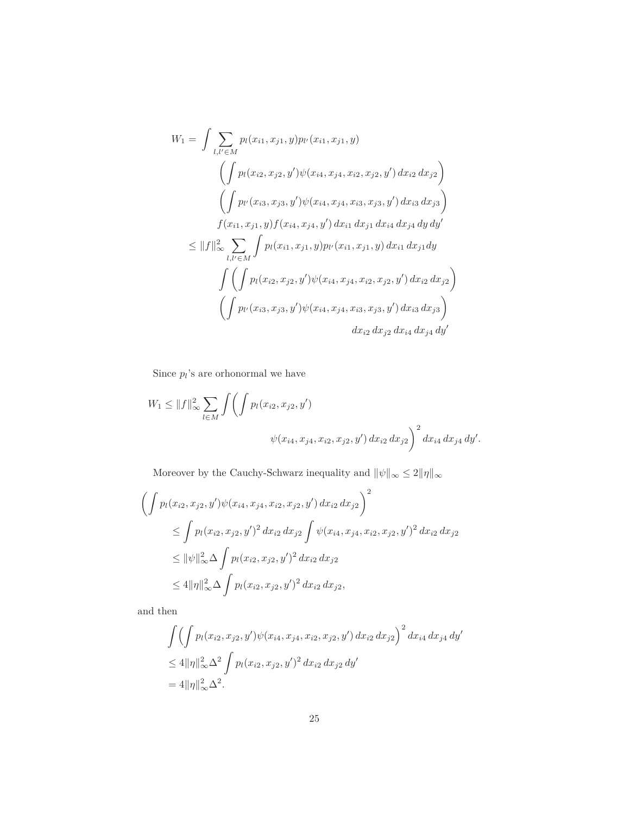$$
W_{1} = \int \sum_{l,l' \in M} p_{l}(x_{i1}, x_{j1}, y) p_{l'}(x_{i1}, x_{j1}, y)
$$
  

$$
\left( \int p_{l}(x_{i2}, x_{j2}, y') \psi(x_{i4}, x_{j4}, x_{i2}, x_{j2}, y') dx_{i2} dx_{j2} \right)
$$
  

$$
\left( \int p_{l'}(x_{i3}, x_{j3}, y') \psi(x_{i4}, x_{j4}, x_{i3}, x_{j3}, y') dx_{i3} dx_{j3} \right)
$$
  

$$
f(x_{i1}, x_{j1}, y) f(x_{i4}, x_{j4}, y') dx_{i1} dx_{j1} dx_{i4} dx_{j4} dy dy'
$$
  

$$
\leq ||f||_{\infty}^{2} \sum_{l,l' \in M} \int p_{l}(x_{i1}, x_{j1}, y) p_{l'}(x_{i1}, x_{j1}, y) dx_{i1} dx_{j1} dy
$$
  

$$
\int \left( \int p_{l}(x_{i2}, x_{j2}, y') \psi(x_{i4}, x_{j4}, x_{i2}, x_{j2}, y') dx_{i2} dx_{j2} \right)
$$
  

$$
\left( \int p_{l'}(x_{i3}, x_{j3}, y') \psi(x_{i4}, x_{j4}, x_{i3}, x_{j3}, y') dx_{i3} dx_{j3} \right)
$$
  

$$
dx_{i2} dx_{j2} dx_{i4} dx_{j4} dy'
$$

Since  $p_l$ 's are orhonormal we have

$$
W_1 \le ||f||_{\infty}^2 \sum_{l \in M} \int \left( \int p_l(x_{i2}, x_{j2}, y') \right) dy(x_{i4}, x_{j4}, x_{i2}, x_{j2}, y') dx_{i2} dx_{j2} \bigg)^2 dx_{i4} dx_{j4} dy'.
$$

Moreover by the Cauchy-Schwarz inequality and  $\|\psi\|_\infty \leq 2\|\eta\|_\infty$ 

$$
\left(\int p_l(x_{i2}, x_{j2}, y')\psi(x_{i4}, x_{j4}, x_{i2}, x_{j2}, y') dx_{i2} dx_{j2}\right)^2
$$
\n
$$
\leq \int p_l(x_{i2}, x_{j2}, y')^2 dx_{i2} dx_{j2} \int \psi(x_{i4}, x_{j4}, x_{i2}, x_{j2}, y')^2 dx_{i2} dx_{j2}
$$
\n
$$
\leq ||\psi||_{\infty}^2 \Delta \int p_l(x_{i2}, x_{j2}, y')^2 dx_{i2} dx_{j2}
$$
\n
$$
\leq 4||\eta||_{\infty}^2 \Delta \int p_l(x_{i2}, x_{j2}, y')^2 dx_{i2} dx_{j2},
$$

and then

$$
\int \left( \int p_l(x_{i2}, x_{j2}, y') \psi(x_{i4}, x_{j4}, x_{i2}, x_{j2}, y') dx_{i2} dx_{j2} \right)^2 dx_{i4} dx_{j4} dy'
$$
  
\n
$$
\leq 4 ||\eta||_{\infty}^2 \Delta^2 \int p_l(x_{i2}, x_{j2}, y')^2 dx_{i2} dx_{j2} dy'
$$
  
\n
$$
= 4 ||\eta||_{\infty}^2 \Delta^2.
$$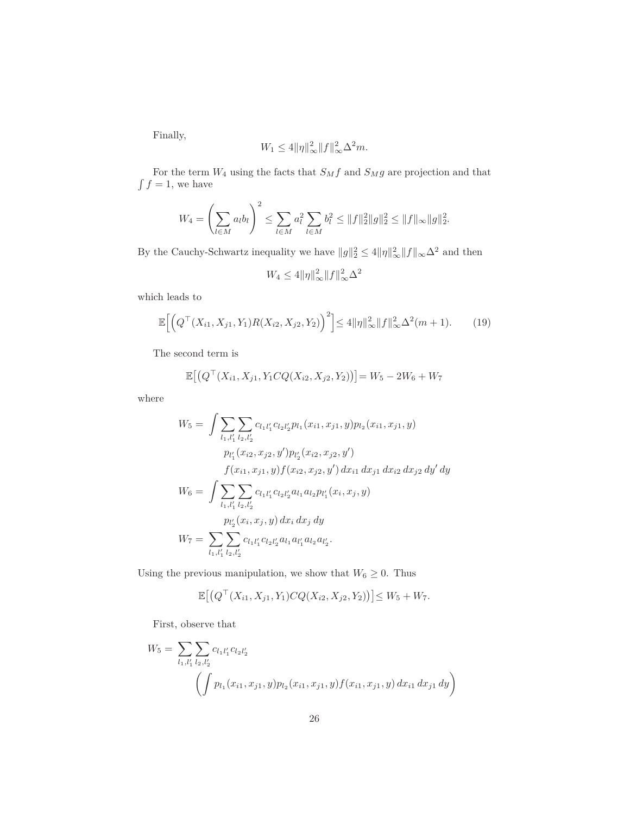Finally,

$$
W_1 \le 4 \|\eta\|_{\infty}^2 \|f\|_{\infty}^2 \Delta^2 m.
$$

For the term *W*<sup>4</sup> using the facts that *SMf* and *S<sup>M</sup> g* are projection and that  $\int f = 1$ , we have

$$
W_4 = \left(\sum_{l \in M} a_l b_l\right)^2 \le \sum_{l \in M} a_l^2 \sum_{l \in M} b_l^2 \le ||f||_2^2 ||g||_2^2 \le ||f||_{\infty} ||g||_2^2.
$$

By the Cauchy-Schwartz inequality we have  $||g||_2^2 \le 4||\eta||_{\infty}^2||f||_{\infty}\Delta^2$  and then

$$
W_4 \le 4 \|\eta\|_{\infty}^2 \|f\|_{\infty}^2 \Delta^2
$$

which leads to

<span id="page-25-0"></span>
$$
\mathbb{E}\Big[\Big(Q^{\top}(X_{i1}, X_{j1}, Y_1)R(X_{i2}, X_{j2}, Y_2)\Big)^2\Big] \le 4\|\eta\|_{\infty}^2 \|f\|_{\infty}^2 \Delta^2(m+1). \tag{19}
$$

The second term is

$$
\mathbb{E}\big[\big(Q^{\top}(X_{i1}, X_{j1}, Y_1 C Q(X_{i2}, X_{j2}, Y_2)\big)\big] = W_5 - 2W_6 + W_7
$$

where

$$
W_5 = \int \sum_{l_1, l'_1} \sum_{l_2, l'_2} c_{l_1 l'_1} c_{l_2 l'_2} p_{l_1}(x_{i1}, x_{j1}, y) p_{l_2}(x_{i1}, x_{j1}, y)
$$
  
\n
$$
p_{l'_1}(x_{i2}, x_{j2}, y') p_{l'_2}(x_{i2}, x_{j2}, y')
$$
  
\n
$$
f(x_{i1}, x_{j1}, y) f(x_{i2}, x_{j2}, y') dx_{i1} dx_{j1} dx_{i2} dx_{j2} dy' dy
$$
  
\n
$$
W_6 = \int \sum_{l_1, l'_1} \sum_{l_2, l'_2} c_{l_1 l'_1} c_{l_2 l'_2} a_{l_1} a_{l_2} p_{l'_1}(x_i, x_j, y)
$$
  
\n
$$
p_{l'_2}(x_i, x_j, y) dx_i dx_j dy
$$
  
\n
$$
W_7 = \sum_{l_1, l'_1} \sum_{l_2, l'_2} c_{l_1 l'_1} c_{l_2 l'_2} a_{l_1} a_{l'_1} a_{l_2} a_{l'_2}.
$$

Using the previous manipulation, we show that  $W_6\geq 0.$  Thus

$$
\mathbb{E}\big[\big(Q^\top(X_{i1}, X_{j1}, Y_1)CQ(X_{i2}, X_{j2}, Y_2)\big)\big]\leq W_5+W_7.
$$

First, observe that

$$
W_5 = \sum_{l_1,l'_1} \sum_{l_2,l'_2} c_{l_1l'_1} c_{l_2l'_2}
$$
  

$$
\left( \int p_{l_1}(x_{i1}, x_{j1}, y) p_{l_2}(x_{i1}, x_{j1}, y) f(x_{i1}, x_{j1}, y) dx_{i1} dx_{j1} dy \right)
$$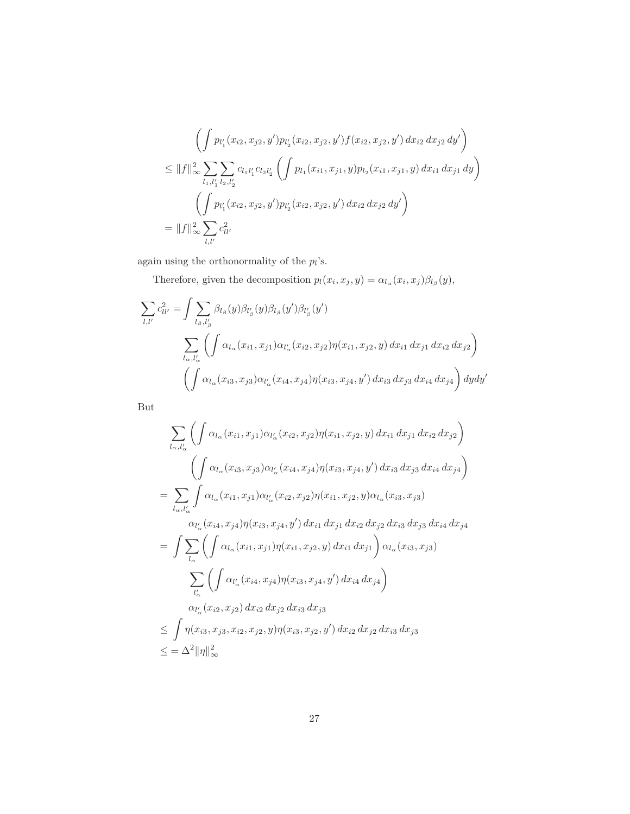$$
\left(\int p_{l'_1}(x_{i2}, x_{j2}, y')p_{l'_2}(x_{i2}, x_{j2}, y')f(x_{i2}, x_{j2}, y') dx_{i2} dx_{j2} dy'\right)
$$
  
\n
$$
\leq ||f||_{\infty}^2 \sum_{l_1, l'_1} \sum_{l_2, l'_2} c_{l_1 l'_1} c_{l_2 l'_2} \left(\int p_{l_1}(x_{i1}, x_{j1}, y) p_{l_2}(x_{i1}, x_{j1}, y) dx_{i1} dx_{j1} dy\right)
$$
  
\n
$$
\left(\int p_{l'_1}(x_{i2}, x_{j2}, y') p_{l'_2}(x_{i2}, x_{j2}, y') dx_{i2} dx_{j2} dy'\right)
$$
  
\n
$$
= ||f||_{\infty}^2 \sum_{l,l'} c_{ll'}^2
$$

again using the orthonormality of the  $p_l$ 's.

Therefore, given the decomposition  $p_l(x_i, x_j, y) = \alpha_{l_\alpha}(x_i, x_j) \beta_{l_\beta}(y)$ ,

$$
\sum_{l,l'} c_{ll'}^2 = \int \sum_{l_\beta, l'_\beta} \beta_{l_\beta}(y) \beta_{l'_\beta}(y) \beta_{l_\beta}(y') \beta_{l'_\beta}(y')
$$
\n
$$
\sum_{l_\alpha, l'_\alpha} \left( \int \alpha_{l_\alpha}(x_{i1}, x_{j1}) \alpha_{l'_\alpha}(x_{i2}, x_{j2}) \eta(x_{i1}, x_{j2}, y) dx_{i1} dx_{j1} dx_{i2} dx_{j2} \right)
$$
\n
$$
\left( \int \alpha_{l_\alpha}(x_{i3}, x_{j3}) \alpha_{l'_\alpha}(x_{i4}, x_{j4}) \eta(x_{i3}, x_{j4}, y') dx_{i3} dx_{j3} dx_{i4} dx_{j4} \right) dy dy'
$$

But

$$
\sum_{l_{\alpha},l'_{\alpha}} \left( \int \alpha_{l_{\alpha}}(x_{i1}, x_{j1}) \alpha_{l'_{\alpha}}(x_{i2}, x_{j2}) \eta(x_{i1}, x_{j2}, y) dx_{i1} dx_{j1} dx_{i2} dx_{j2} \right)
$$
\n
$$
\left( \int \alpha_{l_{\alpha}}(x_{i3}, x_{j3}) \alpha_{l'_{\alpha}}(x_{i4}, x_{j4}) \eta(x_{i3}, x_{j4}, y') dx_{i3} dx_{j3} dx_{i4} dx_{j4} \right)
$$
\n
$$
= \sum_{l_{\alpha},l'_{\alpha}} \int \alpha_{l_{\alpha}}(x_{i1}, x_{j1}) \alpha_{l'_{\alpha}}(x_{i2}, x_{j2}) \eta(x_{i1}, x_{j2}, y) \alpha_{l_{\alpha}}(x_{i3}, x_{j3})
$$
\n
$$
\alpha_{l'_{\alpha}}(x_{i4}, x_{j4}) \eta(x_{i3}, x_{j4}, y') dx_{i1} dx_{j1} dx_{i2} dx_{j2} dx_{i3} dx_{j3} dx_{i4} dx_{j4}
$$
\n
$$
= \int \sum_{l_{\alpha}} \int \int \alpha_{l_{\alpha}}(x_{i1}, x_{j1}) \eta(x_{i1}, x_{j2}, y) dx_{i1} dx_{j1} \right) \alpha_{l_{\alpha}}(x_{i3}, x_{j3})
$$
\n
$$
\sum_{l'_{\alpha}} \left( \int \alpha_{l'_{\alpha}}(x_{i1}, x_{j1}) \eta(x_{i3}, x_{j4}, y') dx_{i4} dx_{j4} \right)
$$
\n
$$
\alpha_{l'_{\alpha}}(x_{i2}, x_{j2}) dx_{i2} dx_{j2} dx_{i3} dx_{j3}
$$
\n
$$
\leq \int \eta(x_{i3}, x_{j3}, x_{i2}, x_{j2}, y) \eta(x_{i3}, x_{j2}, y') dx_{i2} dx_{j2} dx_{i3} dx_{j3}
$$
\n
$$
\leq = \Delta^2 ||\eta||^2_{\infty}
$$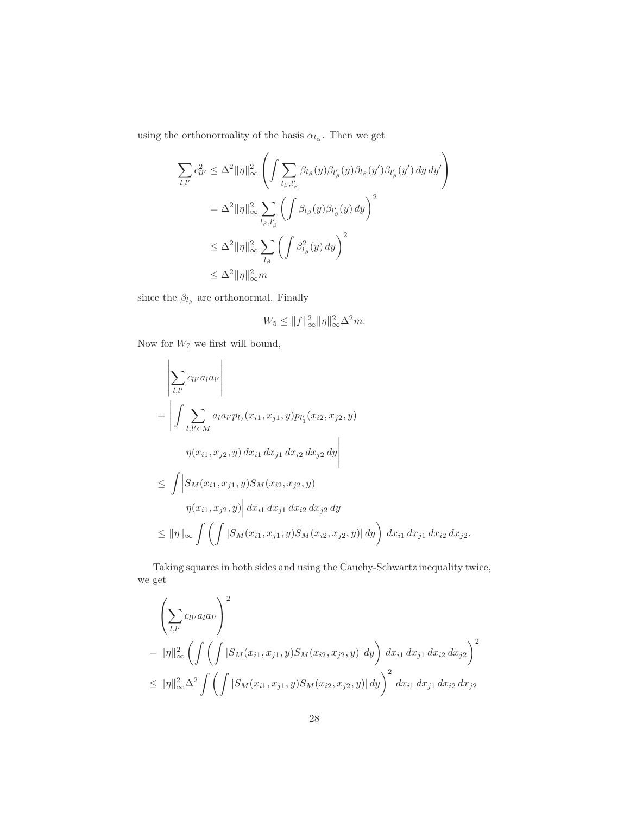using the orthonormality of the basis  $\alpha_{l_{\alpha}}$ . Then we get

$$
\sum_{l,l'} c_{ll'}^2 \leq \Delta^2 \|\eta\|_{\infty}^2 \left( \int \sum_{l_{\beta},l'_{\beta}} \beta_{l_{\beta}}(y) \beta_{l'_{\beta}}(y) \beta_{l_{\beta}}(y') \beta_{l'_{\beta}}(y') dy dy' \right)
$$
  

$$
= \Delta^2 \|\eta\|_{\infty}^2 \sum_{l_{\beta},l'_{\beta}} \left( \int \beta_{l_{\beta}}(y) \beta_{l'_{\beta}}(y) dy \right)^2
$$
  

$$
\leq \Delta^2 \|\eta\|_{\infty}^2 \sum_{l_{\beta}} \left( \int \beta_{l_{\beta}}^2(y) dy \right)^2
$$
  

$$
\leq \Delta^2 \|\eta\|_{\infty}^2 m
$$

since the  $\beta_{l_\beta}$  are orthonormal. Finally

$$
W_5 \le ||f||_{\infty}^2 ||\eta||_{\infty}^2 \Delta^2 m.
$$

Now for  $W_7$  we first will bound,

$$
\left| \sum_{l,l'} c_{ll'} a_{l} a_{l'} \right|
$$
\n
$$
= \left| \int \sum_{l,l' \in M} a_{l} a_{l'} p_{l_2}(x_{i1}, x_{j1}, y) p_{l'_1}(x_{i2}, x_{j2}, y) \right|
$$
\n
$$
\eta(x_{i1}, x_{j2}, y) dx_{i1} dx_{j1} dx_{i2} dx_{j2} dy \right|
$$
\n
$$
\leq \int \left| S_M(x_{i1}, x_{j1}, y) S_M(x_{i2}, x_{j2}, y) \right|
$$
\n
$$
\eta(x_{i1}, x_{j2}, y) \left| dx_{i1} dx_{j1} dx_{i2} dx_{j2} dy \right|
$$
\n
$$
\leq ||\eta||_{\infty} \int \left( \int |S_M(x_{i1}, x_{j1}, y) S_M(x_{i2}, x_{j2}, y) | dy \right) dx_{i1} dx_{j1} dx_{i2} dx_{j2}.
$$

Taking squares in both sides and using the Cauchy-Schwartz inequality twice, we get

$$
\left(\sum_{l,l'} c_{ll'} a_{l} a_{l'}\right)^2
$$
\n
$$
= ||\eta||_{\infty}^2 \left(\int \left(\int |S_M(x_{i1}, x_{j1}, y) S_M(x_{i2}, x_{j2}, y)| dy\right) dx_{i1} dx_{j1} dx_{i2} dx_{j2}\right)^2
$$
\n
$$
\leq ||\eta||_{\infty}^2 \Delta^2 \int \left(\int |S_M(x_{i1}, x_{j1}, y) S_M(x_{i2}, x_{j2}, y)| dy\right)^2 dx_{i1} dx_{j1} dx_{i2} dx_{j2}
$$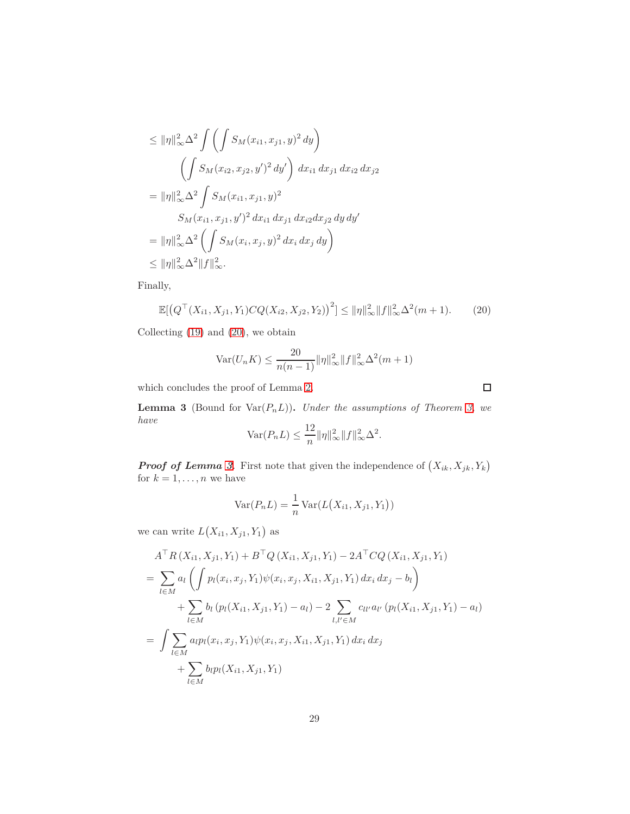$$
\leq \|\eta\|_{\infty}^{2} \Delta^{2} \int \left( \int S_{M}(x_{i1}, x_{j1}, y)^{2} dy \right)
$$
  

$$
\left( \int S_{M}(x_{i2}, x_{j2}, y')^{2} dy' \right) dx_{i1} dx_{j1} dx_{i2} dx_{j2}
$$
  

$$
= \|\eta\|_{\infty}^{2} \Delta^{2} \int S_{M}(x_{i1}, x_{j1}, y)^{2}
$$
  

$$
S_{M}(x_{i1}, x_{j1}, y')^{2} dx_{i1} dx_{j1} dx_{i2} dx_{j2} dy dy'
$$
  

$$
= \|\eta\|_{\infty}^{2} \Delta^{2} \left( \int S_{M}(x_{i}, x_{j}, y)^{2} dx_{i} dx_{j} dy \right)
$$
  

$$
\leq \|\eta\|_{\infty}^{2} \Delta^{2} \|f\|_{\infty}^{2}.
$$

Finally,

<span id="page-28-0"></span>
$$
\mathbb{E}[(Q^{\top}(X_{i1}, X_{j1}, Y_1)CQ(X_{i2}, X_{j2}, Y_2))^{2}] \leq \|\eta\|_{\infty}^{2} \|f\|_{\infty}^{2} \Delta^{2}(m+1). \tag{20}
$$

Collecting [\(19\)](#page-25-0) and [\(20\)](#page-28-0), we obtain

$$
\text{Var}(U_n K) \le \frac{20}{n(n-1)} \|\eta\|_{\infty}^2 \|f\|_{\infty}^2 \Delta^2(m+1)
$$

which concludes the proof of Lemma [2.](#page-22-0)

<span id="page-28-1"></span>**Lemma 3** (Bound for  $\text{Var}(P_n L)$ ). *Under the assumptions of Theorem [3,](#page-10-1) we have*

$$
\text{Var}(P_n L) \le \frac{12}{n} \|\eta\|_{\infty}^2 \|f\|_{\infty}^2 \Delta^2.
$$

*Proof of Lemma [3](#page-28-1).* **First note that given the independence of**  $(X_{ik}, X_{jk}, Y_k)$ for  $k = 1, \ldots, n$  we have

$$
Var(P_n L) = \frac{1}{n} Var(L(X_{i1}, X_{j1}, Y_1))
$$

we can write  $L(X_{i1}, X_{j1}, Y_1)$  as

$$
A^{\top}R(X_{i1}, X_{j1}, Y_1) + B^{\top}Q(X_{i1}, X_{j1}, Y_1) - 2A^{\top}CQ(X_{i1}, X_{j1}, Y_1)
$$
  
= 
$$
\sum_{l \in M} a_l \left( \int p_l(x_i, x_j, Y_1) \psi(x_i, x_j, X_{i1}, X_{j1}, Y_1) dx_i dx_j - b_l \right)
$$
  
+ 
$$
\sum_{l \in M} b_l \left( p_l(X_{i1}, X_{j1}, Y_1) - a_l \right) - 2 \sum_{l,l' \in M} c_{ll'} a_{l'} \left( p_l(X_{i1}, X_{j1}, Y_1) - a_l \right)
$$
  
= 
$$
\int \sum_{l \in M} a_l p_l(x_i, x_j, Y_1) \psi(x_i, x_j, X_{i1}, X_{j1}, Y_1) dx_i dx_j
$$
  
+ 
$$
\sum_{l \in M} b_l p_l(X_{i1}, X_{j1}, Y_1)
$$

 $\Box$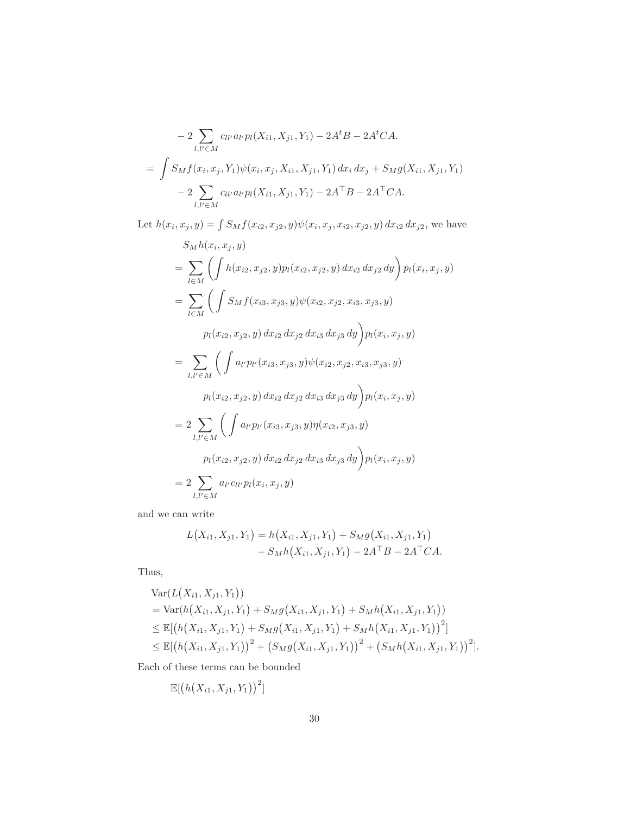$$
-2\sum_{l,l'\in M} c_{ll'}a_{l'}p_l(X_{i1}, X_{j1}, Y_1) - 2A^tB - 2A^tCA.
$$
  
= 
$$
\int S_M f(x_i, x_j, Y_1)\psi(x_i, x_j, X_{i1}, X_{j1}, Y_1) dx_i dx_j + S_M g(X_{i1}, X_{j1}, Y_1)
$$

$$
-2\sum_{l,l'\in M} c_{ll'}a_{l'}p_l(X_{i1}, X_{j1}, Y_1) - 2A^{\top}B - 2A^{\top}CA.
$$

Let  $h(x_i, x_j, y) = \int S_M f(x_{i2}, x_{j2}, y) \psi(x_i, x_j, x_{i2}, x_{j2}, y) dx_{i2} dx_{j2}$ , we have

$$
S_M h(x_i, x_j, y)
$$
  
= 
$$
\sum_{l \in M} \left( \int h(x_{i2}, x_{j2}, y) p_l(x_{i2}, x_{j2}, y) dx_{i2} dx_{j2} dy \right) p_l(x_i, x_j, y)
$$
  
= 
$$
\sum_{l \in M} \left( \int S_M f(x_{i3}, x_{j3}, y) \psi(x_{i2}, x_{j2}, x_{i3}, x_{j3}, y) \right)
$$
  

$$
p_l(x_{i2}, x_{j2}, y) dx_{i2} dx_{j2} dx_{i3} dx_{j3} dy \right) p_l(x_i, x_j, y)
$$
  
= 
$$
\sum_{l,l' \in M} \left( \int a_{l'} p_{l'}(x_{i3}, x_{j3}, y) \psi(x_{i2}, x_{j2}, x_{i3}, x_{j3}, y) \right)
$$
  

$$
p_l(x_{i2}, x_{j2}, y) dx_{i2} dx_{j2} dx_{i3} dx_{j3} dy \right) p_l(x_i, x_j, y)
$$
  
= 
$$
2 \sum_{l,l' \in M} \left( \int a_{l'} p_{l'}(x_{i3}, x_{j3}, y) \eta(x_{i2}, x_{j3}, y) \right)
$$
  

$$
p_l(x_{i2}, x_{j2}, y) dx_{i2} dx_{j2} dx_{i3} dx_{j3} dy \right) p_l(x_i, x_j, y)
$$
  
= 
$$
2 \sum_{l,l' \in M} a_{l'} c_{ll'} p_l(x_i, x_j, y)
$$

and we can write

$$
L(X_{i1}, X_{j1}, Y_1) = h(X_{i1}, X_{j1}, Y_1) + S_M g(X_{i1}, X_{j1}, Y_1)
$$
  
- 
$$
S_M h(X_{i1}, X_{j1}, Y_1) - 2A^{\top} B - 2A^{\top} CA.
$$

Thus,

$$
Var(L(X_{i1}, X_{j1}, Y_1))
$$
  
= Var(h(X\_{i1}, X\_{j1}, Y\_1) + S\_Mg(X\_{i1}, X\_{j1}, Y\_1) + S\_Mh(X\_{i1}, X\_{j1}, Y\_1))  

$$
\leq \mathbb{E}[(h(X_{i1}, X_{j1}, Y_1) + S_Mg(X_{i1}, X_{j1}, Y_1) + S_Mh(X_{i1}, X_{j1}, Y_1))^2]
$$
  

$$
\leq \mathbb{E}[(h(X_{i1}, X_{j1}, Y_1))^2 + (S_Mg(X_{i1}, X_{j1}, Y_1))^2 + (S_Mh(X_{i1}, X_{j1}, Y_1))^2].
$$

Each of these terms can be bounded

$$
\mathbb{E}[\left(h(X_{i1},X_{j1},Y_1)\right)^2]
$$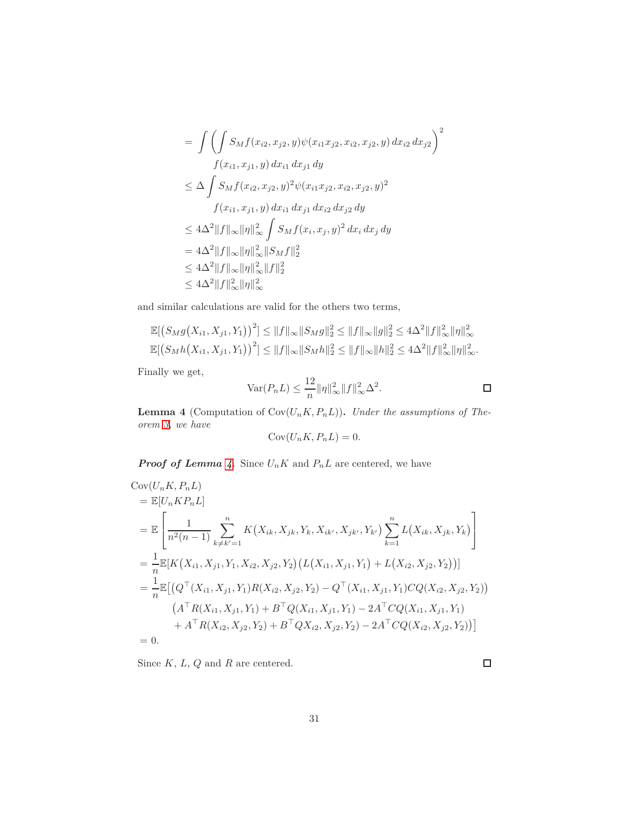$$
= \int \left( \int S_M f(x_{i2}, x_{j2}, y) \psi(x_{i1} x_{j2}, x_{i2}, x_{j2}, y) dx_{i2} dx_{j2} \right)^2
$$
  

$$
f(x_{i1}, x_{j1}, y) dx_{i1} dx_{j1} dy
$$
  

$$
\leq \Delta \int S_M f(x_{i2}, x_{j2}, y)^2 \psi(x_{i1} x_{j2}, x_{i2}, x_{j2}, y)^2
$$
  

$$
f(x_{i1}, x_{j1}, y) dx_{i1} dx_{j1} dx_{i2} dx_{j2} dy
$$
  

$$
\leq 4\Delta^2 ||f||_{\infty} ||\eta||_{\infty}^2 \int S_M f(x_i, x_j, y)^2 dx_i dx_j dy
$$
  

$$
= 4\Delta^2 ||f||_{\infty} ||\eta||_{\infty}^2 ||S_M f||_2^2
$$
  

$$
\leq 4\Delta^2 ||f||_{\infty} ||\eta||_{\infty}^2 ||f||_2^2
$$
  

$$
\leq 4\Delta^2 ||f||_{\infty} ||\eta||_{\infty}^2 ||f||_2^2
$$
  

$$
\leq 4\Delta^2 ||f||_{\infty} ||\eta||_{\infty}^2 ||f||_2^2
$$

and similar calculations are valid for the others two terms,

$$
\mathbb{E}[(S_M g(X_{i1}, X_{j1}, Y_1))^2] \leq ||f||_{\infty} ||S_M g||_2^2 \leq ||f||_{\infty} ||g||_2^2 \leq 4\Delta^2 ||f||_{\infty}^2 ||\eta||_{\infty}^2
$$
  

$$
\mathbb{E}[(S_M h(X_{i1}, X_{j1}, Y_1))^2] \leq ||f||_{\infty} ||S_M h||_2^2 \leq ||f||_{\infty} ||h||_2^2 \leq 4\Delta^2 ||f||_{\infty}^2 ||\eta||_{\infty}^2.
$$

Finally we get,

Var
$$
(P_n L) \leq \frac{12}{n} ||\eta||_{\infty}^2 ||f||_{\infty}^2 \Delta^2
$$
.

<span id="page-30-0"></span>**Lemma 4** (Computation of  $Cov(U_nK, P_nL)$ ). *Under the assumptions of Theorem [3,](#page-10-1) we have*

$$
Cov(U_nK, P_nL) = 0.
$$

*Proof of Lemma [4](#page-30-0).* Since  $U_nK$  and  $P_nL$  are centered, we have

$$
Cov(U_n K, P_n L)
$$
  
=  $\mathbb{E}[U_n K P_n L]$   
=  $\mathbb{E}\left[\frac{1}{n^2(n-1)}\sum_{k \neq k'=1}^n K(X_{ik}, X_{jk}, Y_k, X_{ik'}, X_{jk'}, Y_{k'})\sum_{k=1}^n L(X_{ik}, X_{jk}, Y_k)\right]$   
=  $\frac{1}{n} \mathbb{E}[K(X_{i1}, X_{j1}, Y_1, X_{i2}, X_{j2}, Y_2) (L(X_{i1}, X_{j1}, Y_1) + L(X_{i2}, X_{j2}, Y_2))]$   
=  $\frac{1}{n} \mathbb{E}[(Q^{\top}(X_{i1}, X_{j1}, Y_1)R(X_{i2}, X_{j2}, Y_2) - Q^{\top}(X_{i1}, X_{j1}, Y_1)CQ(X_{i2}, X_{j2}, Y_2))$   
 $(A^{\top}R(X_{i1}, X_{j1}, Y_1) + B^{\top}Q(X_{i1}, X_{j1}, Y_1) - 2A^{\top}CQ(X_{i1}, X_{j1}, Y_1) + A^{\top}R(X_{i2}, X_{j2}, Y_2) + B^{\top}QX_{i2}, X_{j2}, Y_2) - 2A^{\top}CQ(X_{i2}, X_{j2}, Y_2))]$   
= 0.

Since *K*, *L*, *Q* and *R* are centered.

 $\Box$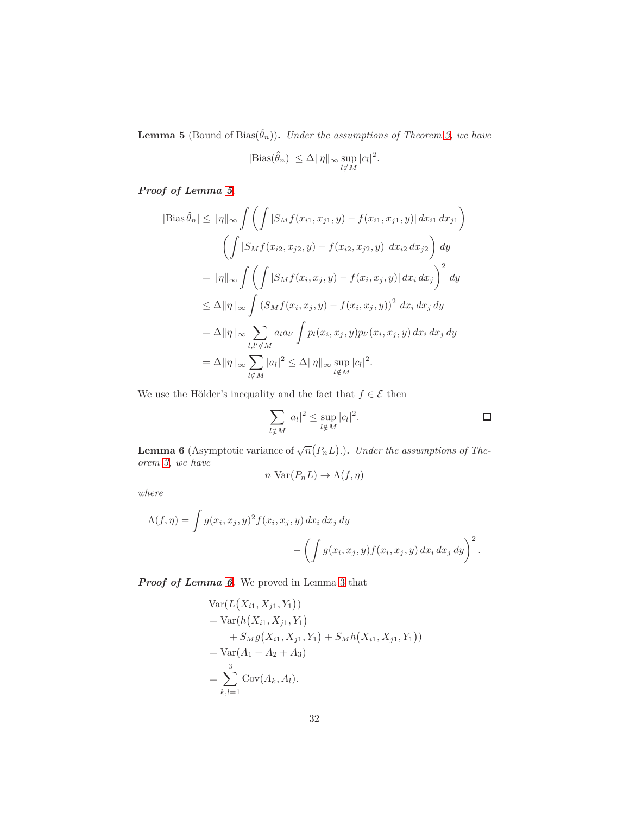<span id="page-31-0"></span>**Lemma 5** (Bound of Bias $(\hat{\theta}_n)$ ). *Under the assumptions of Theorem [3,](#page-10-1) we have* 

$$
|\text{Bias}(\hat{\theta}_n)| \le \Delta \|\eta\|_{\infty} \sup_{l \notin M} |c_l|^2
$$

*Proof of Lemma [5](#page-31-0).*

$$
|\text{Bias}\hat{\theta}_n| \leq ||\eta||_{\infty} \int \left( \int |S_M f(x_{i1}, x_{j1}, y) - f(x_{i1}, x_{j1}, y)| dx_{i1} dx_{j1} \right)
$$

$$
\left( \int |S_M f(x_{i2}, x_{j2}, y) - f(x_{i2}, x_{j2}, y)| dx_{i2} dx_{j2} \right) dy
$$

$$
= ||\eta||_{\infty} \int \left( \int |S_M f(x_i, x_j, y) - f(x_i, x_j, y)| dx_i dx_j \right)^2 dy
$$

$$
\leq \Delta ||\eta||_{\infty} \int (S_M f(x_i, x_j, y) - f(x_i, x_j, y))^2 dx_i dx_j dy
$$

$$
= \Delta ||\eta||_{\infty} \sum_{l,l' \notin M} a_l a_{l'} \int p_l(x_i, x_j, y) p_{l'}(x_i, x_j, y) dx_i dx_j dy
$$

$$
= \Delta ||\eta||_{\infty} \sum_{l \notin M} |a_l|^2 \leq \Delta ||\eta||_{\infty} \sup_{l \notin M} |c_l|^2.
$$

We use the Hölder's inequality and the fact that  $f\in \mathcal{E}$  then

$$
\sum_{l \notin M} |a_l|^2 \le \sup_{l \notin M} |c_l|^2.
$$

*.*

<span id="page-31-1"></span>**Lemma 6** (Asymptotic variance of  $\sqrt{n}(P_n L)$ .). *Under the assumptions of Theorem [3,](#page-10-1) we have*

$$
n \operatorname{Var}(P_n L) \to \Lambda(f, \eta)
$$

*where*

$$
\Lambda(f,\eta) = \int g(x_i, x_j, y)^2 f(x_i, x_j, y) dx_i dx_j dy
$$

$$
- \left( \int g(x_i, x_j, y) f(x_i, x_j, y) dx_i dx_j dy \right)^2.
$$

*Proof of Lemma [6](#page-31-1).* We proved in Lemma [3](#page-28-1) that

$$
Var(L(X_{i1}, X_{j1}, Y_1))
$$
  
= Var(h(X\_{i1}, X\_{j1}, Y\_1)  
+ S<sub>M</sub>g(X\_{i1}, X\_{j1}, Y\_1) + S<sub>M</sub>h(X\_{i1}, X\_{j1}, Y\_1))  
= Var(A\_1 + A\_2 + A\_3)  
= 
$$
\sum_{k,l=1}^{3} Cov(A_k, A_l).
$$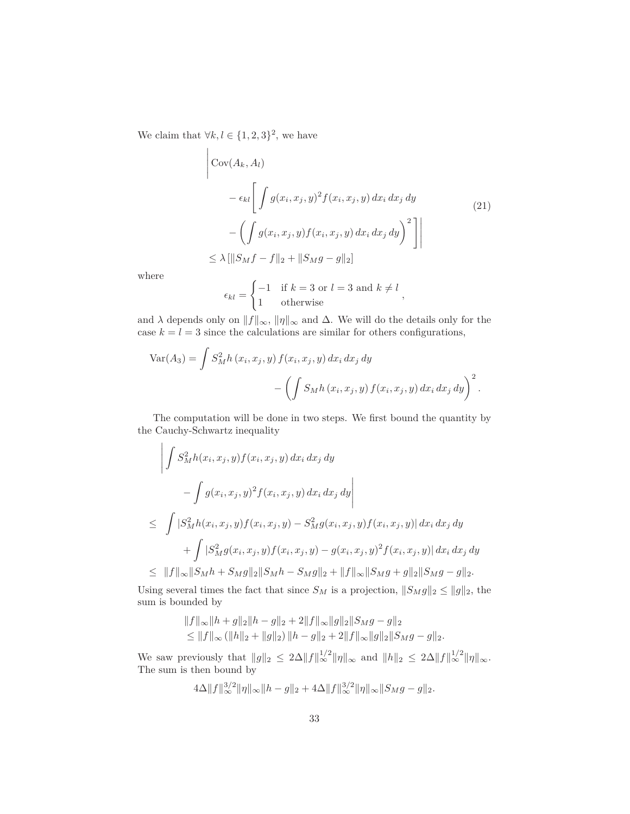We claim that  $\forall k, l \in \{1, 2, 3\}^2$ , we have

$$
\left| \text{Cov}(A_k, A_l) \right|
$$
  

$$
- \epsilon_{kl} \left[ \int g(x_i, x_j, y)^2 f(x_i, x_j, y) dx_i dx_j dy \right]
$$
  

$$
- \left( \int g(x_i, x_j, y) f(x_i, x_j, y) dx_i dx_j dy \right)^2 \right]
$$
  

$$
\leq \lambda \left[ \|S_M f - f\|_2 + \|S_M g - g\|_2 \right]
$$
 (21)

where

 $\mathbf{I}$ 

<span id="page-32-0"></span>
$$
\epsilon_{kl} = \begin{cases}\n-1 & \text{if } k = 3 \text{ or } l = 3 \text{ and } k \neq l, \\
1 & \text{otherwise}\n\end{cases}
$$

and  $\lambda$  depends only on  $||f||_{\infty}$ ,  $||\eta||_{\infty}$  and  $\Delta$ . We will do the details only for the case  $k = l = 3$  since the calculations are similar for others configurations,

$$
Var(A_3) = \int S_M^2 h(x_i, x_j, y) f(x_i, x_j, y) dx_i dx_j dy
$$

$$
- \left( \int S_M h(x_i, x_j, y) f(x_i, x_j, y) dx_i dx_j dy \right)^2.
$$

The computation will be done in two steps. We first bound the quantity by the Cauchy-Schwartz inequality

$$
\left| \int S_M^2 h(x_i, x_j, y) f(x_i, x_j, y) dx_i dx_j dy \right|
$$
  
\n
$$
- \int g(x_i, x_j, y)^2 f(x_i, x_j, y) dx_i dx_j dy \right|
$$
  
\n
$$
\leq \int |S_M^2 h(x_i, x_j, y) f(x_i, x_j, y) - S_M^2 g(x_i, x_j, y) f(x_i, x_j, y)| dx_i dx_j dy
$$
  
\n
$$
+ \int |S_M^2 g(x_i, x_j, y) f(x_i, x_j, y) - g(x_i, x_j, y)^2 f(x_i, x_j, y)| dx_i dx_j dy
$$
  
\n
$$
\leq ||f||_{\infty} ||S_M h + S_M g||_2 ||S_M h - S_M g||_2 + ||f||_{\infty} ||S_M g + g||_2 ||S_M g - g||_2.
$$

Using several times the fact that since  $S_M$  is a projection,  $||S_M g||_2 \le ||g||_2$ , the sum is bounded by

$$
||f||_{\infty}||h+g||_{2}||h-g||_{2}+2||f||_{\infty}||g||_{2}||S_{M}g-g||_{2}
$$
  
\n
$$
\leq ||f||_{\infty} (||h||_{2}+||g||_{2})||h-g||_{2}+2||f||_{\infty}||g||_{2}||S_{M}g-g||_{2}.
$$

We saw previously that  $||g||_2 \le 2\Delta ||f||^{1/2}_{\infty} ||\eta||_{\infty}$  and  $||h||_2 \le 2\Delta ||f||^{1/2}_{\infty} ||\eta||_{\infty}$ . The sum is then bound by

$$
4\Delta ||f||_{\infty}^{3/2} ||\eta||_{\infty} ||h - g||_2 + 4\Delta ||f||_{\infty}^{3/2} ||\eta||_{\infty} ||S_M g - g||_2.
$$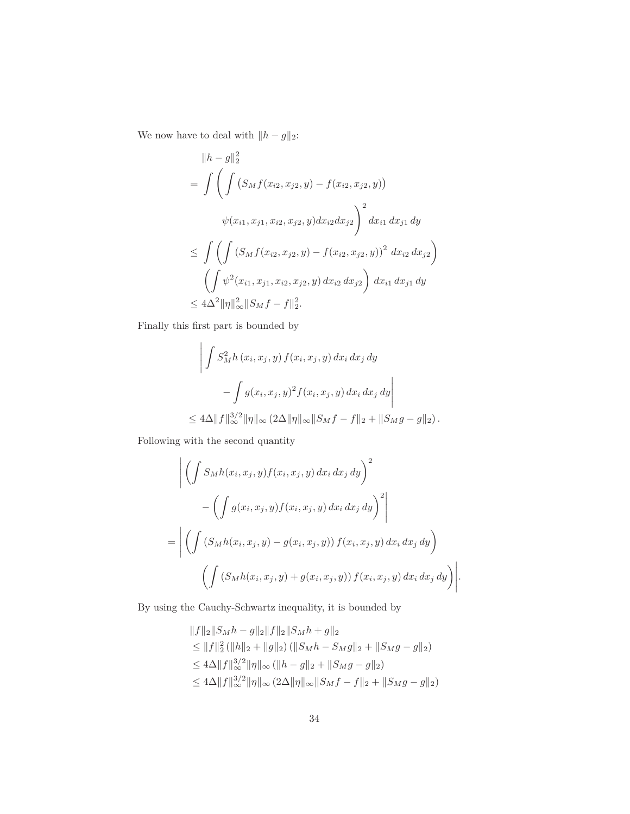We now have to deal with  $\|h-g\|_2$ :

$$
||h - g||_2^2
$$
  
=  $\int \left( \int (S_M f(x_{i2}, x_{j2}, y) - f(x_{i2}, x_{j2}, y)) \right)$   
 $\psi(x_{i1}, x_{j1}, x_{i2}, x_{j2}, y) dx_{i2} dx_{j2} \right)^2 dx_{i1} dx_{j1} dy$   
 $\leq \int \left( \int (S_M f(x_{i2}, x_{j2}, y) - f(x_{i2}, x_{j2}, y))^2 dx_{i2} dx_{j2} \right)$   
 $\left( \int \psi^2(x_{i1}, x_{j1}, x_{i2}, x_{j2}, y) dx_{i2} dx_{j2} \right) dx_{i1} dx_{j1} dy$   
 $\leq 4\Delta^2 ||\eta||_\infty^2 ||S_M f - f||_2^2.$ 

Finally this first part is bounded by

$$
\left| \int S_M^2 h(x_i, x_j, y) f(x_i, x_j, y) dx_i dx_j dy \right|
$$
  

$$
- \int g(x_i, x_j, y)^2 f(x_i, x_j, y) dx_i dx_j dy \right|
$$
  

$$
\leq 4\Delta ||f||_{\infty}^{3/2} ||\eta||_{\infty} (2\Delta ||\eta||_{\infty} ||S_M f - f||_2 + ||S_M g - g||_2).
$$

Following with the second quantity

$$
\left| \left( \int S_M h(x_i, x_j, y) f(x_i, x_j, y) dx_i dx_j dy \right)^2 \right|
$$
  

$$
- \left( \int g(x_i, x_j, y) f(x_i, x_j, y) dx_i dx_j dy \right)^2 \right|
$$
  

$$
= \left| \left( \int (S_M h(x_i, x_j, y) - g(x_i, x_j, y)) f(x_i, x_j, y) dx_i dx_j dy \right) \right|
$$
  

$$
\left( \int (S_M h(x_i, x_j, y) + g(x_i, x_j, y)) f(x_i, x_j, y) dx_i dx_j dy \right) \right|.
$$

By using the Cauchy-Schwartz inequality, it is bounded by

$$
||f||_2||S_Mh - g||_2||f||_2||S_Mh + g||_2
$$
  
\n
$$
\leq ||f||_2^2 (||h||_2 + ||g||_2) (||S_Mh - S_Mg||_2 + ||S_Mg - g||_2)
$$
  
\n
$$
\leq 4\Delta ||f||_{\infty}^{3/2} ||\eta||_{\infty} (||h - g||_2 + ||S_Mg - g||_2)
$$
  
\n
$$
\leq 4\Delta ||f||_{\infty}^{3/2} ||\eta||_{\infty} (2\Delta ||\eta||_{\infty} ||S_Mf - f||_2 + ||S_Mg - g||_2)
$$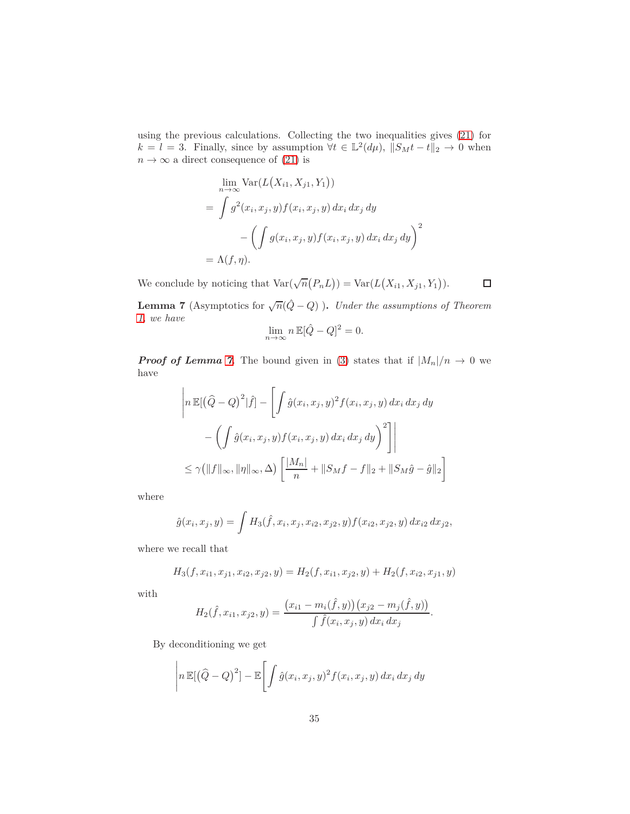using the previous calculations. Collecting the two inequalities gives [\(21\)](#page-32-0) for  $k = l = 3$ . Finally, since by assumption  $\forall t \in \mathbb{L}^2(d\mu)$ ,  $||S_M t - t||_2 \to 0$  when  $n \to \infty$  a direct consequence of  $(21)$  is

$$
\lim_{n \to \infty} \text{Var}(L(X_{i1}, X_{j1}, Y_1))
$$
\n
$$
= \int g^2(x_i, x_j, y) f(x_i, x_j, y) dx_i dx_j dy
$$
\n
$$
- \left( \int g(x_i, x_j, y) f(x_i, x_j, y) dx_i dx_j dy \right)^2
$$
\n
$$
= \Lambda(f, \eta).
$$

We conclude by noticing that  $\text{Var}(\sqrt{n}(P_n L)) = \text{Var}(L(X_{i1}, X_{j1}, Y_1)).$ 

 $\Box$ 

<span id="page-34-0"></span>**Lemma 7** (Asymptotics for  $\sqrt{n}(\hat{Q} - Q)$ ). *Under the assumptions of Theorem [1,](#page-8-1) we have*

$$
\lim_{n \to \infty} n \, \mathbb{E}[\hat{Q} - Q]^2 = 0.
$$

*Proof of Lemma [7](#page-34-0).* The bound given in [\(3\)](#page-10-1) states that if  $|M_n|/n \to 0$  we have

$$
\left| n \mathbb{E}[(\hat{Q} - Q)^2 | \hat{f}] - \left[ \int \hat{g}(x_i, x_j, y)^2 f(x_i, x_j, y) dx_i dx_j dy \right. \right. \left. - \left( \int \hat{g}(x_i, x_j, y) f(x_i, x_j, y) dx_i dx_j dy \right)^2 \right] \right|
$$
\n
$$
\leq \gamma (\|f\|_{\infty}, \|\eta\|_{\infty}, \Delta) \left[ \frac{|M_n|}{n} + \|S_M f - f\|_2 + \|S_M \hat{g} - \hat{g}\|_2 \right]
$$

where

$$
\hat{g}(x_i, x_j, y) = \int H_3(\hat{f}, x_i, x_j, x_{i2}, x_{j2}, y) f(x_{i2}, x_{j2}, y) dx_{i2} dx_{j2},
$$

where we recall that

$$
H_3(f, x_{i1}, x_{j1}, x_{i2}, x_{j2}, y) = H_2(f, x_{i1}, x_{j2}, y) + H_2(f, x_{i2}, x_{j1}, y)
$$

with

$$
H_2(\hat{f}, x_{i1}, x_{j2}, y) = \frac{(x_{i1} - m_i(\hat{f}, y)) (x_{j2} - m_j(\hat{f}, y))}{\int \hat{f}(x_i, x_j, y) dx_i dx_j}.
$$

By deconditioning we get

$$
\left| n \mathbb{E}[(\widehat{Q} - Q)^2] - \mathbb{E}\left[\int \widehat{g}(x_i, x_j, y)^2 f(x_i, x_j, y) dx_i dx_j dy \right] \right|
$$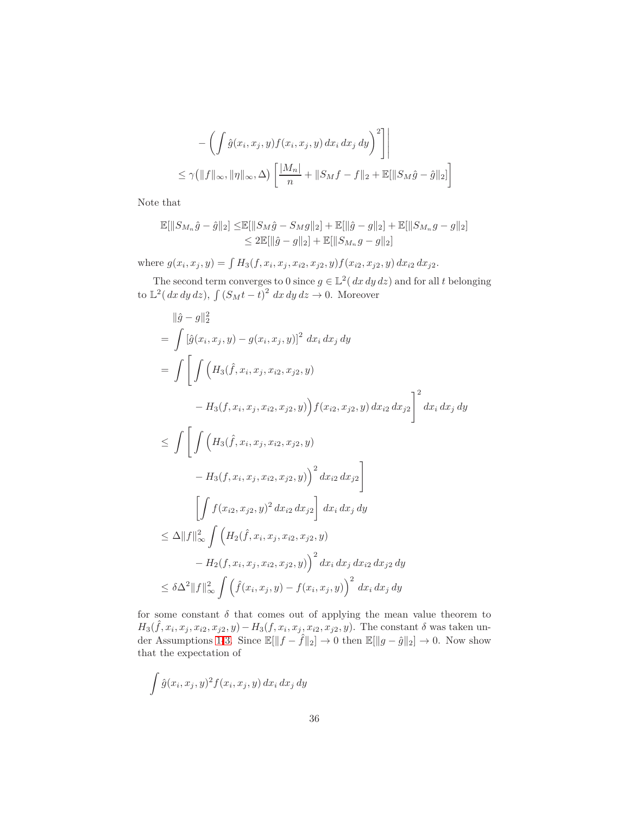$$
- \left( \int \hat{g}(x_i, x_j, y) f(x_i, x_j, y) dx_i dx_j dy \right)^2 \right] \Big|
$$
  

$$
\leq \gamma \left( \|f\|_{\infty}, \|\eta\|_{\infty}, \Delta \right) \left[ \frac{|M_n|}{n} + \|S_M f - f\|_2 + \mathbb{E}[\|S_M \hat{g} - \hat{g}\|_2] \right]
$$

Note that

$$
\mathbb{E}[\|S_{M_n}\hat{g} - \hat{g}\|_2] \leq \mathbb{E}[\|S_M\hat{g} - S_Mg\|_2] + \mathbb{E}[\|\hat{g} - g\|_2] + \mathbb{E}[\|S_{M_n}g - g\|_2] \leq 2\mathbb{E}[\|\hat{g} - g\|_2] + \mathbb{E}[\|S_{M_n}g - g\|_2]
$$

where  $g(x_i, x_j, y) = \int H_3(f, x_i, x_j, x_{i2}, x_{j2}, y) f(x_{i2}, x_{j2}, y) dx_{i2} dx_{j2}$ .

The second term converges to 0 since  $g \in L^2(dx\,dy\,dz)$  and for all *t* belonging to  $\mathbb{L}^2(dx\,dy\,dz)$ ,  $\int (S_Mt - t)^2 dx dy dz \to 0$ . Moreover

$$
\|\hat{g} - g\|_{2}^{2}
$$
\n
$$
= \int [\hat{g}(x_{i}, x_{j}, y) - g(x_{i}, x_{j}, y)]^{2} dx_{i} dx_{j} dy
$$
\n
$$
= \int \left[ \int (H_{3}(\hat{f}, x_{i}, x_{j}, x_{i2}, x_{j2}, y) -H_{3}(f, x_{i}, x_{j}, x_{i2}, x_{j2}, y) f(x_{i2}, x_{j2}, y) dx_{i2} dx_{j2} \right]^{2} dx_{i} dx_{j} dy
$$
\n
$$
\leq \int \left[ \int (H_{3}(\hat{f}, x_{i}, x_{j}, x_{i2}, x_{j2}, y) -H_{3}(f, x_{i}, x_{j}, x_{i2}, x_{j2}, y) \right]^{2} dx_{i2} dx_{j2} \right]
$$
\n
$$
\left[ \int f(x_{i2}, x_{j2}, y)^{2} dx_{i2} dx_{j2} \right] dx_{i} dx_{j} dy
$$
\n
$$
\leq \Delta ||f||_{\infty}^{2} \int (H_{2}(\hat{f}, x_{i}, x_{j}, x_{i2}, x_{j2}, y) -H_{2}(f, x_{i}, x_{j}, x_{i2}, x_{j2}, y))^{2} dx_{i} dx_{j} dx_{i2} dx_{j2} dy
$$
\n
$$
\leq \delta \Delta^{2} ||f||_{\infty}^{2} \int (\hat{f}(x_{i}, x_{j}, y) - f(x_{i}, x_{j}, y))^{2} dx_{i} dx_{j} dx_{j} dy
$$

for some constant  $\delta$  that comes out of applying the mean value theorem to  $H_3(\hat{f}, x_i, x_j, x_{i2}, x_{j2}, y) - H_3(f, x_i, x_{j}, x_{i2}, x_{j2}, y)$ . The constant  $\delta$  was taken un-der Assumptions [1](#page-6-0)[-3.](#page-6-2) Since  $\mathbb{E}[\|f - \hat{f}\|_2] \to 0$  then  $\mathbb{E}[\|g - \hat{g}\|_2] \to 0$ . Now show that the expectation of

$$
\int \hat{g}(x_i, x_j, y)^2 f(x_i, x_j, y) dx_i dx_j dy
$$